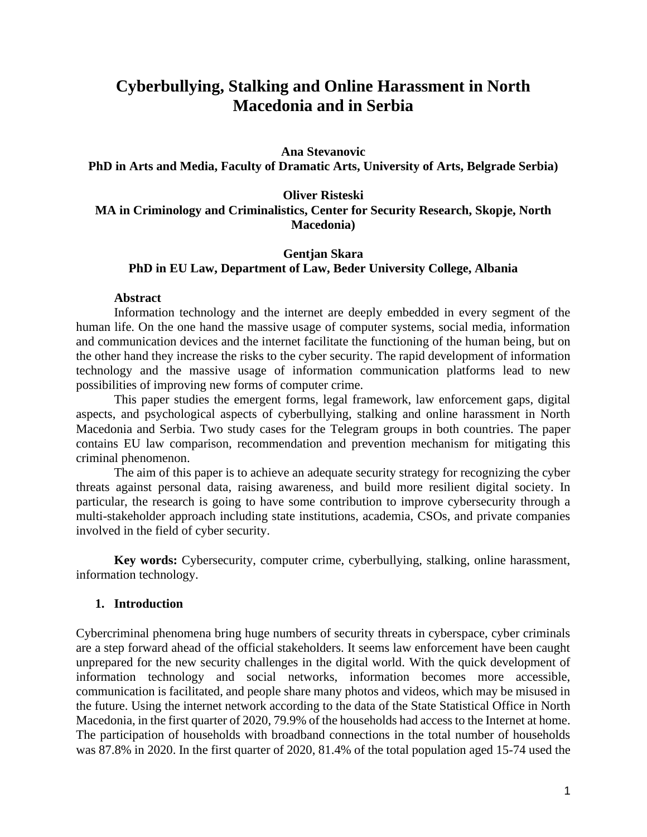# **Cyberbullying, Stalking and Online Harassment in North Macedonia and in Serbia**

#### **Ana Stevanovic**

**PhD in Arts and Media, Faculty of Dramatic Arts, University of Arts, Belgrade Serbia)**

**Oliver Risteski**

**MA in Criminology and Criminalistics, Center for Security Research, Skopje, North Macedonia)**

#### **Gentjan Skara PhD in EU Law, Department of Law, Beder University College, Albania**

#### **Abstract**

Information technology and the internet are deeply embedded in every segment of the human life. On the one hand the massive usage of computer systems, social media, information and communication devices and the internet facilitate the functioning of the human being, but on the other hand they increase the risks to the cyber security. The rapid development of information technology and the massive usage of information communication platforms lead to new possibilities of improving new forms of computer crime.

This paper studies the emergent forms, legal framework, law enforcement gaps, digital aspects, and psychological aspects of cyberbullying, stalking and online harassment in North Macedonia and Serbia. Two study cases for the Telegram groups in both countries. The paper contains EU law comparison, recommendation and prevention mechanism for mitigating this criminal phenomenon.

The aim of this paper is to achieve an adequate security strategy for recognizing the cyber threats against personal data, raising awareness, and build more resilient digital society. In particular, the research is going to have some contribution to improve cybersecurity through a multi-stakeholder approach including state institutions, academia, CSOs, and private companies involved in the field of cyber security.

**Key words:** Cybersecurity, computer crime, cyberbullying, stalking, online harassment, information technology.

#### **1. Introduction**

Cybercriminal phenomena bring huge numbers of security threats in cyberspace, cyber criminals are a step forward ahead of the official stakeholders. It seems law enforcement have been caught unprepared for the new security challenges in the digital world. With the quick development of information technology and social networks, information becomes more accessible, communication is facilitated, and people share many photos and videos, which may be misused in the future. Using the internet network according to the data of the State Statistical Office in North Macedonia, in the first quarter of 2020, 79.9% of the households had access to the Internet at home. The participation of households with broadband connections in the total number of households was 87.8% in 2020. In the first quarter of 2020, 81.4% of the total population aged 15-74 used the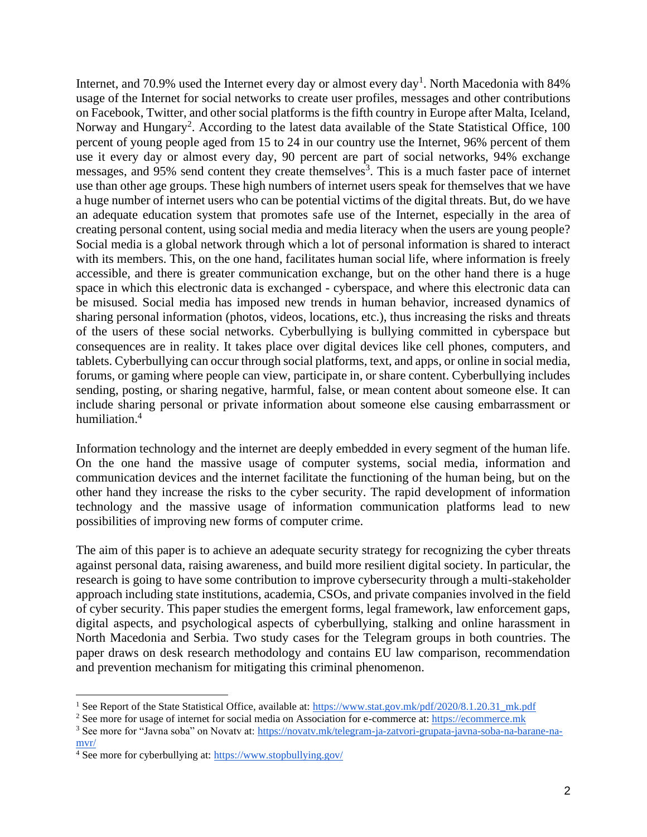Internet, and 70.9% used the Internet every day or almost every day<sup>1</sup>. North Macedonia with 84% usage of the Internet for social networks to create user profiles, messages and other contributions on Facebook, Twitter, and other social platforms is the fifth country in Europe after Malta, Iceland, Norway and Hungary<sup>2</sup>. According to the latest data available of the State Statistical Office, 100 percent of young people aged from 15 to 24 in our country use the Internet, 96% percent of them use it every day or almost every day, 90 percent are part of social networks, 94% exchange messages, and 95% send content they create themselves<sup>3</sup>. This is a much faster pace of internet use than other age groups. These high numbers of internet users speak for themselves that we have a huge number of internet users who can be potential victims of the digital threats. But, do we have an adequate education system that promotes safe use of the Internet, especially in the area of creating personal content, using social media and media literacy when the users are young people? Social media is a global network through which a lot of personal information is shared to interact with its members. This, on the one hand, facilitates human social life, where information is freely accessible, and there is greater communication exchange, but on the other hand there is a huge space in which this electronic data is exchanged - cyberspace, and where this electronic data can be misused. Social media has imposed new trends in human behavior, increased dynamics of sharing personal information (photos, videos, locations, etc.), thus increasing the risks and threats of the users of these social networks. Cyberbullying is bullying committed in cyberspace but consequences are in reality. It takes place over digital devices like cell phones, computers, and tablets. Cyberbullying can occur through social platforms, text, and apps, or online in social media, forums, or gaming where people can view, participate in, or share content. Cyberbullying includes sending, posting, or sharing negative, harmful, false, or mean content about someone else. It can include sharing personal or private information about someone else causing embarrassment or humiliation.<sup>4</sup>

Information technology and the internet are deeply embedded in every segment of the human life. On the one hand the massive usage of computer systems, social media, information and communication devices and the internet facilitate the functioning of the human being, but on the other hand they increase the risks to the cyber security. The rapid development of information technology and the massive usage of information communication platforms lead to new possibilities of improving new forms of computer crime.

The aim of this paper is to achieve an adequate security strategy for recognizing the cyber threats against personal data, raising awareness, and build more resilient digital society. In particular, the research is going to have some contribution to improve cybersecurity through a multi-stakeholder approach including state institutions, academia, CSOs, and private companies involved in the field of cyber security. This paper studies the emergent forms, legal framework, law enforcement gaps, digital aspects, and psychological aspects of cyberbullying, stalking and online harassment in North Macedonia and Serbia. Two study cases for the Telegram groups in both countries. The paper draws on desk research methodology and contains EU law comparison, recommendation and prevention mechanism for mitigating this criminal phenomenon.

<sup>&</sup>lt;sup>1</sup> See Report of the State Statistical Office, available at: [https://www.stat.gov.mk/pdf/2020/8.1.20.31\\_mk.pdf](https://www.stat.gov.mk/pdf/2020/8.1.20.31_mk.pdf)

<sup>2</sup> See more for usage of internet for social media on Association for e-commerce at[: https://ecommerce.mk](https://ecommerce.mk/%D0%B7%D0%B0-%D1%88%D1%82%D0%BE-%D0%B3%D0%BE-%D0%BA%D0%BE%D1%80%D0%B8%D1%81%D1%82%D0%B0%D1%82-%D0%BC%D0%B0%D0%BA%D0%B5%D0%B4%D0%BE%D0%BD%D1%86%D0%B8%D1%82%D0%B5-%D0%B8%D0%BD%D1%82%D0%B5%D1%80%D0%BD/)

<sup>3</sup> See more for "Javna soba" on Novatv at: [https://novatv.mk/telegram-ja-zatvori-grupata-javna-soba-na-barane-na](https://novatv.mk/telegram-ja-zatvori-grupata-javna-soba-na-barane-na-mvr/) $mvr/$ 

<sup>4</sup> See more for cyberbullying at: <https://www.stopbullying.gov/>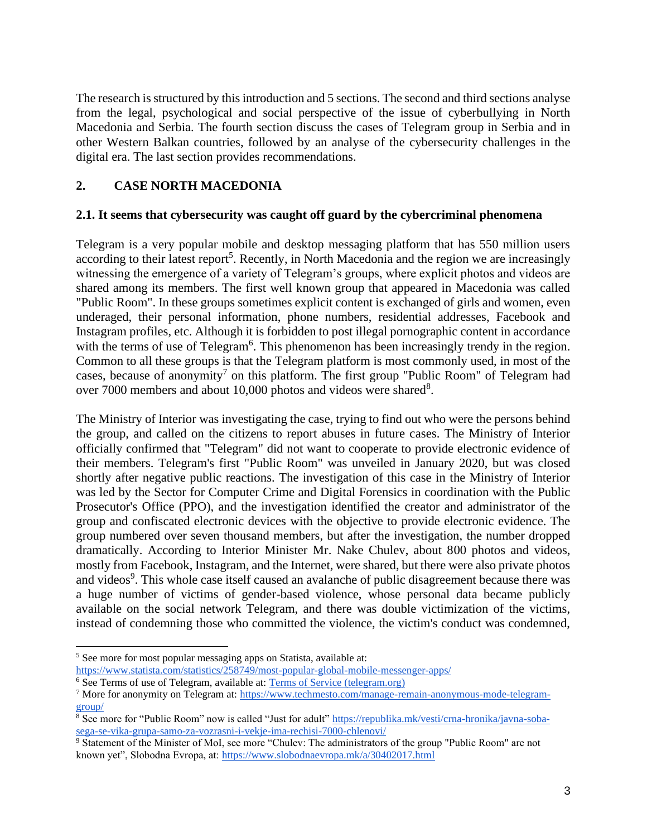The research is structured by this introduction and 5 sections. The second and third sections analyse from the legal, psychological and social perspective of the issue of cyberbullying in North Macedonia and Serbia. The fourth section discuss the cases of Telegram group in Serbia and in other Western Balkan countries, followed by an analyse of the cybersecurity challenges in the digital era. The last section provides recommendations.

## **2. CASE NORTH MACEDONIA**

### **2.1. It seems that cybersecurity was caught off guard by the cybercriminal phenomena**

Telegram is a very popular mobile and desktop messaging platform that has 550 million users according to their latest report<sup>5</sup>. Recently, in North Macedonia and the region we are increasingly witnessing the emergence of a variety of Telegram's groups, where explicit photos and videos are shared among its members. The first well known group that appeared in Macedonia was called "Public Room". In these groups sometimes explicit content is exchanged of girls and women, even underaged, their personal information, phone numbers, residential addresses, Facebook and Instagram profiles, etc. Although it is forbidden to post illegal pornographic content in accordance with the terms of use of Telegram<sup>6</sup>. This phenomenon has been increasingly trendy in the region. Common to all these groups is that the Telegram platform is most commonly used, in most of the cases, because of anonymity<sup>7</sup> on this platform. The first group "Public Room" of Telegram had over 7000 members and about 10,000 photos and videos were shared<sup>8</sup>.

The Ministry of Interior was investigating the case, trying to find out who were the persons behind the group, and called on the citizens to report abuses in future cases. The Ministry of Interior officially confirmed that "Telegram" did not want to cooperate to provide electronic evidence of their members. Telegram's first "Public Room" was unveiled in January 2020, but was closed shortly after negative public reactions. The investigation of this case in the Ministry of Interior was led by the Sector for Computer Crime and Digital Forensics in coordination with the Public Prosecutor's Office (PPO), and the investigation identified the creator and administrator of the group and confiscated electronic devices with the objective to provide electronic evidence. The group numbered over seven thousand members, but after the investigation, the number dropped dramatically. According to Interior Minister Mr. Nake Chulev, about 800 photos and videos, mostly from Facebook, Instagram, and the Internet, were shared, but there were also private photos and videos<sup>9</sup>. This whole case itself caused an avalanche of public disagreement because there was a huge number of victims of gender-based violence, whose personal data became publicly available on the social network Telegram, and there was double victimization of the victims, instead of condemning those who committed the violence, the victim's conduct was condemned,

<sup>5</sup> See more for most popular messaging apps on Statista, available at: <https://www.statista.com/statistics/258749/most-popular-global-mobile-messenger-apps/>

<sup>&</sup>lt;sup>6</sup> See Terms of use of Telegram, available at[: Terms of Service \(telegram.org\)](https://telegram.org/tos)

<sup>7</sup> More for anonymity on Telegram at: [https://www.techmesto.com/manage-remain-anonymous-mode-telegram](https://www.techmesto.com/manage-remain-anonymous-mode-telegram-group/)[group/](https://www.techmesto.com/manage-remain-anonymous-mode-telegram-group/)

<sup>8</sup> See more for "Public Room" now is called "Just for adult" [https://republika.mk/vesti/crna-hronika/javna-soba](https://republika.mk/vesti/crna-hronika/javna-soba-sega-se-vika-grupa-samo-za-vozrasni-i-vekje-ima-rechisi-7000-chlenovi/)[sega-se-vika-grupa-samo-za-vozrasni-i-vekje-ima-rechisi-7000-chlenovi/](https://republika.mk/vesti/crna-hronika/javna-soba-sega-se-vika-grupa-samo-za-vozrasni-i-vekje-ima-rechisi-7000-chlenovi/)

<sup>&</sup>lt;sup>9</sup> Statement of the Minister of MoI, see more "Chulev: The administrators of the group "Public Room" are not known yet", Slobodna Evropa, at:<https://www.slobodnaevropa.mk/a/30402017.html>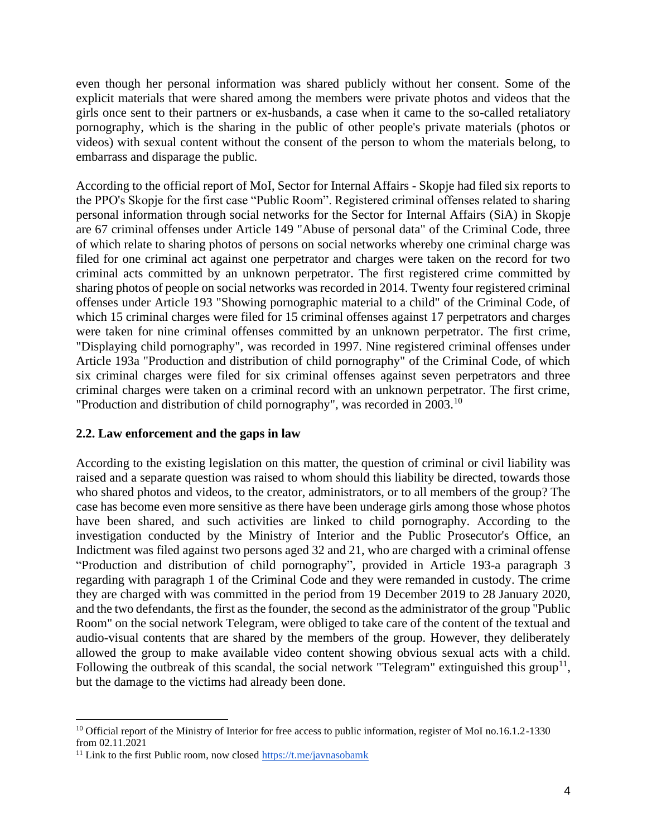even though her personal information was shared publicly without her consent. Some of the explicit materials that were shared among the members were private photos and videos that the girls once sent to their partners or ex-husbands, a case when it came to the so-called retaliatory pornography, which is the sharing in the public of other people's private materials (photos or videos) with sexual content without the consent of the person to whom the materials belong, to embarrass and disparage the public.

According to the official report of MoI, Sector for Internal Affairs - Skopje had filed six reports to the PPO's Skopje for the first case "Public Room". Registered criminal offenses related to sharing personal information through social networks for the Sector for Internal Affairs (SiA) in Skopje are 67 criminal offenses under Article 149 "Abuse of personal data" of the Criminal Code, three of which relate to sharing photos of persons on social networks whereby one criminal charge was filed for one criminal act against one perpetrator and charges were taken on the record for two criminal acts committed by an unknown perpetrator. The first registered crime committed by sharing photos of people on social networks was recorded in 2014. Twenty four registered criminal offenses under Article 193 "Showing pornographic material to a child" of the Criminal Code, of which 15 criminal charges were filed for 15 criminal offenses against 17 perpetrators and charges were taken for nine criminal offenses committed by an unknown perpetrator. The first crime, "Displaying child pornography", was recorded in 1997. Nine registered criminal offenses under Article 193a "Production and distribution of child pornography" of the Criminal Code, of which six criminal charges were filed for six criminal offenses against seven perpetrators and three criminal charges were taken on a criminal record with an unknown perpetrator. The first crime, "Production and distribution of child pornography", was recorded in 2003.<sup>10</sup>

#### **2.2. Law enforcement and the gaps in law**

According to the existing legislation on this matter, the question of criminal or civil liability was raised and a separate question was raised to whom should this liability be directed, towards those who shared photos and videos, to the creator, administrators, or to all members of the group? The case has become even more sensitive as there have been underage girls among those whose photos have been shared, and such activities are linked to child pornography. According to the investigation conducted by the Ministry of Interior and the Public Prosecutor's Office, an Indictment was filed against two persons aged 32 and 21, who are charged with a criminal offense "Production and distribution of child pornography", provided in Article 193-a paragraph 3 regarding with paragraph 1 of the Criminal Code and they were remanded in custody. The crime they are charged with was committed in the period from 19 December 2019 to 28 January 2020, and the two defendants, the first as the founder, the second as the administrator of the group "Public Room" on the social network Telegram, were obliged to take care of the content of the textual and audio-visual contents that are shared by the members of the group. However, they deliberately allowed the group to make available video content showing obvious sexual acts with a child. Following the outbreak of this scandal, the social network "Telegram" extinguished this group<sup>11</sup>, but the damage to the victims had already been done.

<sup>&</sup>lt;sup>10</sup> Official report of the Ministry of Interior for free access to public information, register of MoI no.16.1.2-1330 from 02.11.2021

<sup>&</sup>lt;sup>11</sup> Link to the first Public room, now closed  $\frac{https://t.me/javnasobamk}{https://t.me/javnasobamk})$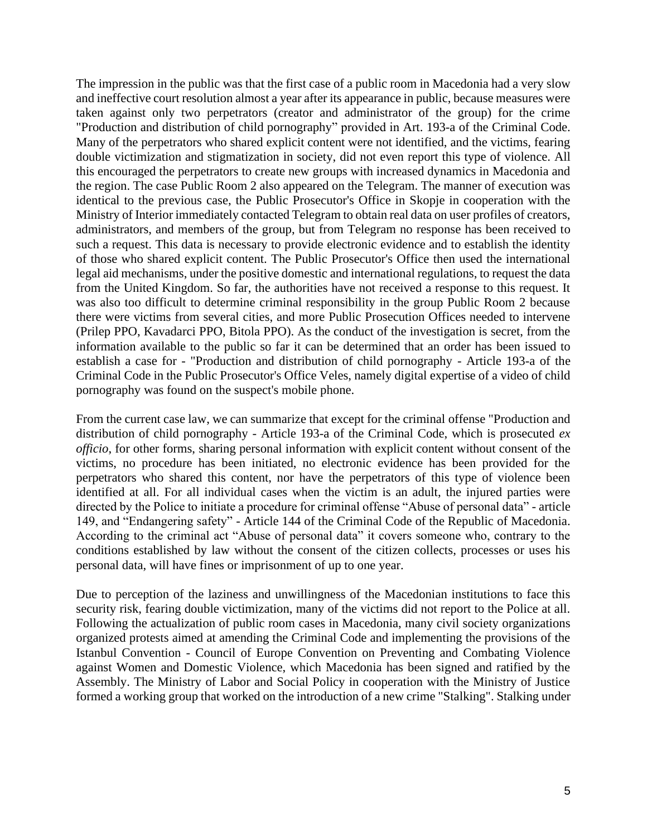The impression in the public was that the first case of a public room in Macedonia had a very slow and ineffective court resolution almost a year after its appearance in public, because measures were taken against only two perpetrators (creator and administrator of the group) for the crime "Production and distribution of child pornography" provided in Art. 193-a of the Criminal Code. Many of the perpetrators who shared explicit content were not identified, and the victims, fearing double victimization and stigmatization in society, did not even report this type of violence. All this encouraged the perpetrators to create new groups with increased dynamics in Macedonia and the region. The case Public Room 2 also appeared on the Telegram. The manner of execution was identical to the previous case, the Public Prosecutor's Office in Skopje in cooperation with the Ministry of Interior immediately contacted Telegram to obtain real data on user profiles of creators, administrators, and members of the group, but from Telegram no response has been received to such a request. This data is necessary to provide electronic evidence and to establish the identity of those who shared explicit content. The Public Prosecutor's Office then used the international legal aid mechanisms, under the positive domestic and international regulations, to request the data from the United Kingdom. So far, the authorities have not received a response to this request. It was also too difficult to determine criminal responsibility in the group Public Room 2 because there were victims from several cities, and more Public Prosecution Offices needed to intervene (Prilep PPO, Kavadarci PPO, Bitola PPO). As the conduct of the investigation is secret, from the information available to the public so far it can be determined that an order has been issued to establish a case for - "Production and distribution of child pornography - Article 193-a of the Criminal Code in the Public Prosecutor's Office Veles, namely digital expertise of a video of child pornography was found on the suspect's mobile phone.

From the current case law, we can summarize that except for the criminal offense "Production and distribution of child pornography - Article 193-a of the Criminal Code, which is prosecuted *ex officio*, for other forms, sharing personal information with explicit content without consent of the victims, no procedure has been initiated, no electronic evidence has been provided for the perpetrators who shared this content, nor have the perpetrators of this type of violence been identified at all. For all individual cases when the victim is an adult, the injured parties were directed by the Police to initiate a procedure for criminal offense "Abuse of personal data" - article 149, and "Endangering safety" - Article 144 of the Criminal Code of the Republic of Macedonia. According to the criminal act "Abuse of personal data" it covers someone who, contrary to the conditions established by law without the consent of the citizen collects, processes or uses his personal data, will have fines or imprisonment of up to one year.

Due to perception of the laziness and unwillingness of the Macedonian institutions to face this security risk, fearing double victimization, many of the victims did not report to the Police at all. Following the actualization of public room cases in Macedonia, many civil society organizations organized protests aimed at amending the Criminal Code and implementing the provisions of the Istanbul Convention - Council of Europe Convention on Preventing and Combating Violence against Women and Domestic Violence, which Macedonia has been signed and ratified by the Assembly. The Ministry of Labor and Social Policy in cooperation with the Ministry of Justice formed a working group that worked on the introduction of a new crime "Stalking". Stalking under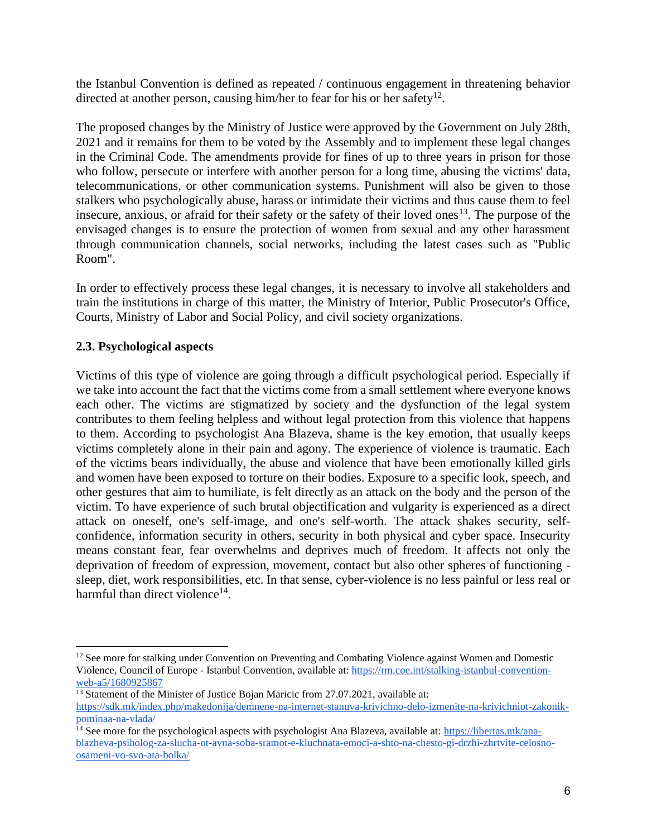the Istanbul Convention is defined as repeated / continuous engagement in threatening behavior directed at another person, causing him/her to fear for his or her safety<sup>12</sup>.

The proposed changes by the Ministry of Justice were approved by the Government on July 28th, 2021 and it remains for them to be voted by the Assembly and to implement these legal changes in the Criminal Code. The amendments provide for fines of up to three years in prison for those who follow, persecute or interfere with another person for a long time, abusing the victims' data, telecommunications, or other communication systems. Punishment will also be given to those stalkers who psychologically abuse, harass or intimidate their victims and thus cause them to feel insecure, anxious, or afraid for their safety or the safety of their loved ones<sup>13</sup>. The purpose of the envisaged changes is to ensure the protection of women from sexual and any other harassment through communication channels, social networks, including the latest cases such as "Public Room".

In order to effectively process these legal changes, it is necessary to involve all stakeholders and train the institutions in charge of this matter, the Ministry of Interior, Public Prosecutor's Office, Courts, Ministry of Labor and Social Policy, and civil society organizations.

### **2.3. Psychological aspects**

Victims of this type of violence are going through a difficult psychological period. Especially if we take into account the fact that the victims come from a small settlement where everyone knows each other. The victims are stigmatized by society and the dysfunction of the legal system contributes to them feeling helpless and without legal protection from this violence that happens to them. According to psychologist Ana Blazeva, shame is the key emotion, that usually keeps victims completely alone in their pain and agony. The experience of violence is traumatic. Each of the victims bears individually, the abuse and violence that have been emotionally killed girls and women have been exposed to torture on their bodies. Exposure to a specific look, speech, and other gestures that aim to humiliate, is felt directly as an attack on the body and the person of the victim. To have experience of such brutal objectification and vulgarity is experienced as a direct attack on oneself, one's self-image, and one's self-worth. The attack shakes security, selfconfidence, information security in others, security in both physical and cyber space. Insecurity means constant fear, fear overwhelms and deprives much of freedom. It affects not only the deprivation of freedom of expression, movement, contact but also other spheres of functioning sleep, diet, work responsibilities, etc. In that sense, cyber-violence is no less painful or less real or harmful than direct violence<sup>14</sup>.

<sup>&</sup>lt;sup>12</sup> See more for stalking under Convention on Preventing and Combating Violence against Women and Domestic Violence, Council of Europe - Istanbul Convention, available at: [https://rm.coe.int/stalking-istanbul-convention](https://translate.google.com/translate?hl=en&prev=_t&sl=mk&tl=en&u=https://rm.coe.int/stalking-istanbul-convention-web-a5/1680925867)[web-a5/1680925867](https://translate.google.com/translate?hl=en&prev=_t&sl=mk&tl=en&u=https://rm.coe.int/stalking-istanbul-convention-web-a5/1680925867)

 $\frac{13}{13}$  Statement of the Minister of Justice Bojan Maricic from 27.07.2021, available at: [https://sdk.mk/index.php/makedonija/demnene-na-internet-stanuva-krivichno-delo-izmenite-na-krivichniot-zakonik](https://sdk.mk/index.php/makedonija/demnene-na-internet-stanuva-krivichno-delo-izmenite-na-krivichniot-zakonik-pominaa-na-vlada/)[pominaa-na-vlada/](https://sdk.mk/index.php/makedonija/demnene-na-internet-stanuva-krivichno-delo-izmenite-na-krivichniot-zakonik-pominaa-na-vlada/)

<sup>&</sup>lt;sup>14</sup> See more for the psychological aspects with psychologist Ana Blazeva, available at: [https://libertas.mk/ana](https://libertas.mk/ana-blazheva-psiholog-za-slucha-ot-avna-soba-sramot-e-kluchnata-emoci-a-shto-na-chesto-gi-drzhi-zhrtvite-celosno-osameni-vo-svo-ata-bolka/)[blazheva-psiholog-za-slucha-ot-avna-soba-sramot-e-kluchnata-emoci-a-shto-na-chesto-gi-drzhi-zhrtvite-celosno](https://libertas.mk/ana-blazheva-psiholog-za-slucha-ot-avna-soba-sramot-e-kluchnata-emoci-a-shto-na-chesto-gi-drzhi-zhrtvite-celosno-osameni-vo-svo-ata-bolka/)[osameni-vo-svo-ata-bolka/](https://libertas.mk/ana-blazheva-psiholog-za-slucha-ot-avna-soba-sramot-e-kluchnata-emoci-a-shto-na-chesto-gi-drzhi-zhrtvite-celosno-osameni-vo-svo-ata-bolka/)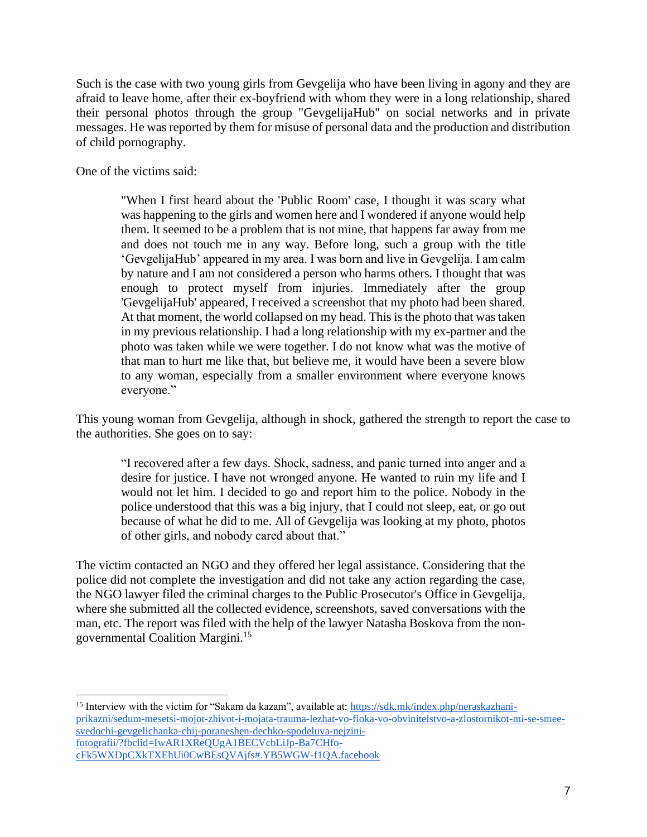Such is the case with two young girls from Gevgelija who have been living in agony and they are afraid to leave home, after their ex-boyfriend with whom they were in a long relationship, shared their personal photos through the group "GevgelijaHub" on social networks and in private messages. He was reported by them for misuse of personal data and the production and distribution of child pornography.

One of the victims said:

"When I first heard about the 'Public Room' case, I thought it was scary what was happening to the girls and women here and I wondered if anyone would help them. It seemed to be a problem that is not mine, that happens far away from me and does not touch me in any way. Before long, such a group with the title 'GevgelijaHub' appeared in my area. I was born and live in Gevgelija. I am calm by nature and I am not considered a person who harms others. I thought that was enough to protect myself from injuries. Immediately after the group 'GevgelijaHub' appeared, I received a screenshot that my photo had been shared. At that moment, the world collapsed on my head. This is the photo that was taken in my previous relationship. I had a long relationship with my ex-partner and the photo was taken while we were together. I do not know what was the motive of that man to hurt me like that, but believe me, it would have been a severe blow to any woman, especially from a smaller environment where everyone knows everyone."

This young woman from Gevgelija, although in shock, gathered the strength to report the case to the authorities. She goes on to say:

"I recovered after a few days. Shock, sadness, and panic turned into anger and a desire for justice. I have not wronged anyone. He wanted to ruin my life and I would not let him. I decided to go and report him to the police. Nobody in the police understood that this was a big injury, that I could not sleep, eat, or go out because of what he did to me. All of Gevgelija was looking at my photo, photos of other girls, and nobody cared about that."

The victim contacted an NGO and they offered her legal assistance. Considering that the police did not complete the investigation and did not take any action regarding the case, the NGO lawyer filed the criminal charges to the Public Prosecutor's Office in Gevgelija, where she submitted all the collected evidence, screenshots, saved conversations with the man, etc. The report was filed with the help of the lawyer Natasha Boskova from the nongovernmental Coalition Margini.<sup>15</sup>

<sup>15</sup> Interview with the victim for "Sakam da kazam", available at: [https://sdk.mk/index.php/neraskazhani](https://sdk.mk/index.php/neraskazhani-prikazni/sedum-mesetsi-mojot-zhivot-i-mojata-trauma-lezhat-vo-fioka-vo-obvinitelstvo-a-zlostornikot-mi-se-smee-svedochi-gevgelichanka-chij-poraneshen-dechko-spodeluva-nejzini-fotografii/?fbclid=IwAR1XReQUgA1BECVcbLiJp-Ba7CHfo-cFk5WXDpCXkTXEhUi0CwBEsQVAjfs#.YB5WGW-f1QA.facebook)[prikazni/sedum-mesetsi-mojot-zhivot-i-mojata-trauma-lezhat-vo-fioka-vo-obvinitelstvo-a-zlostornikot-mi-se-smee](https://sdk.mk/index.php/neraskazhani-prikazni/sedum-mesetsi-mojot-zhivot-i-mojata-trauma-lezhat-vo-fioka-vo-obvinitelstvo-a-zlostornikot-mi-se-smee-svedochi-gevgelichanka-chij-poraneshen-dechko-spodeluva-nejzini-fotografii/?fbclid=IwAR1XReQUgA1BECVcbLiJp-Ba7CHfo-cFk5WXDpCXkTXEhUi0CwBEsQVAjfs#.YB5WGW-f1QA.facebook)[svedochi-gevgelichanka-chij-poraneshen-dechko-spodeluva-nejzini](https://sdk.mk/index.php/neraskazhani-prikazni/sedum-mesetsi-mojot-zhivot-i-mojata-trauma-lezhat-vo-fioka-vo-obvinitelstvo-a-zlostornikot-mi-se-smee-svedochi-gevgelichanka-chij-poraneshen-dechko-spodeluva-nejzini-fotografii/?fbclid=IwAR1XReQUgA1BECVcbLiJp-Ba7CHfo-cFk5WXDpCXkTXEhUi0CwBEsQVAjfs#.YB5WGW-f1QA.facebook)[fotografii/?fbclid=IwAR1XReQUgA1BECVcbLiJp-Ba7CHfo](https://sdk.mk/index.php/neraskazhani-prikazni/sedum-mesetsi-mojot-zhivot-i-mojata-trauma-lezhat-vo-fioka-vo-obvinitelstvo-a-zlostornikot-mi-se-smee-svedochi-gevgelichanka-chij-poraneshen-dechko-spodeluva-nejzini-fotografii/?fbclid=IwAR1XReQUgA1BECVcbLiJp-Ba7CHfo-cFk5WXDpCXkTXEhUi0CwBEsQVAjfs#.YB5WGW-f1QA.facebook)[cFk5WXDpCXkTXEhUi0CwBEsQVAjfs#.YB5WGW-f1QA.facebook](https://sdk.mk/index.php/neraskazhani-prikazni/sedum-mesetsi-mojot-zhivot-i-mojata-trauma-lezhat-vo-fioka-vo-obvinitelstvo-a-zlostornikot-mi-se-smee-svedochi-gevgelichanka-chij-poraneshen-dechko-spodeluva-nejzini-fotografii/?fbclid=IwAR1XReQUgA1BECVcbLiJp-Ba7CHfo-cFk5WXDpCXkTXEhUi0CwBEsQVAjfs#.YB5WGW-f1QA.facebook)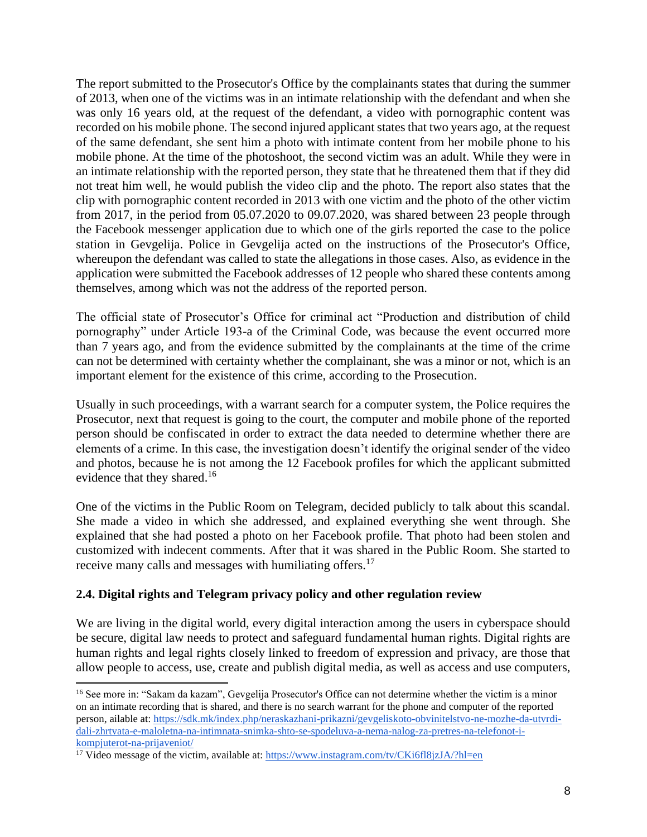The report submitted to the Prosecutor's Office by the complainants states that during the summer of 2013, when one of the victims was in an intimate relationship with the defendant and when she was only 16 years old, at the request of the defendant, a video with pornographic content was recorded on his mobile phone. The second injured applicant states that two years ago, at the request of the same defendant, she sent him a photo with intimate content from her mobile phone to his mobile phone. At the time of the photoshoot, the second victim was an adult. While they were in an intimate relationship with the reported person, they state that he threatened them that if they did not treat him well, he would publish the video clip and the photo. The report also states that the clip with pornographic content recorded in 2013 with one victim and the photo of the other victim from 2017, in the period from 05.07.2020 to 09.07.2020, was shared between 23 people through the Facebook messenger application due to which one of the girls reported the case to the police station in Gevgelija. Police in Gevgelija acted on the instructions of the Prosecutor's Office, whereupon the defendant was called to state the allegations in those cases. Also, as evidence in the application were submitted the Facebook addresses of 12 people who shared these contents among themselves, among which was not the address of the reported person.

The official state of Prosecutor's Office for criminal act "Production and distribution of child pornography" under Article 193-a of the Criminal Code, was because the event occurred more than 7 years ago, and from the evidence submitted by the complainants at the time of the crime can not be determined with certainty whether the complainant, she was a minor or not, which is an important element for the existence of this crime, according to the Prosecution.

Usually in such proceedings, with a warrant search for a computer system, the Police requires the Prosecutor, next that request is going to the court, the computer and mobile phone of the reported person should be confiscated in order to extract the data needed to determine whether there are elements of a crime. In this case, the investigation doesn't identify the original sender of the video and photos, because he is not among the 12 Facebook profiles for which the applicant submitted evidence that they shared.<sup>16</sup>

One of the victims in the Public Room on Telegram, decided publicly to talk about this scandal. She made a video in which she addressed, and explained everything she went through. She explained that she had posted a photo on her Facebook profile. That photo had been stolen and customized with indecent comments. After that it was shared in the Public Room. She started to receive many calls and messages with humiliating offers.<sup>17</sup>

### **2.4. Digital rights and Telegram privacy policy and other regulation review**

We are living in the digital world, every digital interaction among the users in cyberspace should be secure, digital law needs to protect and safeguard fundamental human rights. Digital rights are human rights and legal rights closely linked to freedom of expression and privacy, are those that allow people to access, use, create and publish digital media, as well as access and use computers,

<sup>&</sup>lt;sup>16</sup> See more in: "Sakam da kazam", Gevgelija Prosecutor's Office can not determine whether the victim is a minor on an intimate recording that is shared, and there is no search warrant for the phone and computer of the reported person, ailable at: [https://sdk.mk/index.php/neraskazhani-prikazni/gevgeliskoto-obvinitelstvo-ne-mozhe-da-utvrdi](https://sdk.mk/index.php/neraskazhani-prikazni/gevgeliskoto-obvinitelstvo-ne-mozhe-da-utvrdi-dali-zhrtvata-e-maloletna-na-intimnata-snimka-shto-se-spodeluva-a-nema-nalog-za-pretres-na-telefonot-i-kompjuterot-na-prijaveniot/)[dali-zhrtvata-e-maloletna-na-intimnata-snimka-shto-se-spodeluva-a-nema-nalog-za-pretres-na-telefonot-i](https://sdk.mk/index.php/neraskazhani-prikazni/gevgeliskoto-obvinitelstvo-ne-mozhe-da-utvrdi-dali-zhrtvata-e-maloletna-na-intimnata-snimka-shto-se-spodeluva-a-nema-nalog-za-pretres-na-telefonot-i-kompjuterot-na-prijaveniot/)[kompjuterot-na-prijaveniot/](https://sdk.mk/index.php/neraskazhani-prikazni/gevgeliskoto-obvinitelstvo-ne-mozhe-da-utvrdi-dali-zhrtvata-e-maloletna-na-intimnata-snimka-shto-se-spodeluva-a-nema-nalog-za-pretres-na-telefonot-i-kompjuterot-na-prijaveniot/)

<sup>&</sup>lt;sup>17</sup> Video message of the victim, available at:<https://www.instagram.com/tv/CKi6fl8jzJA/?hl=en>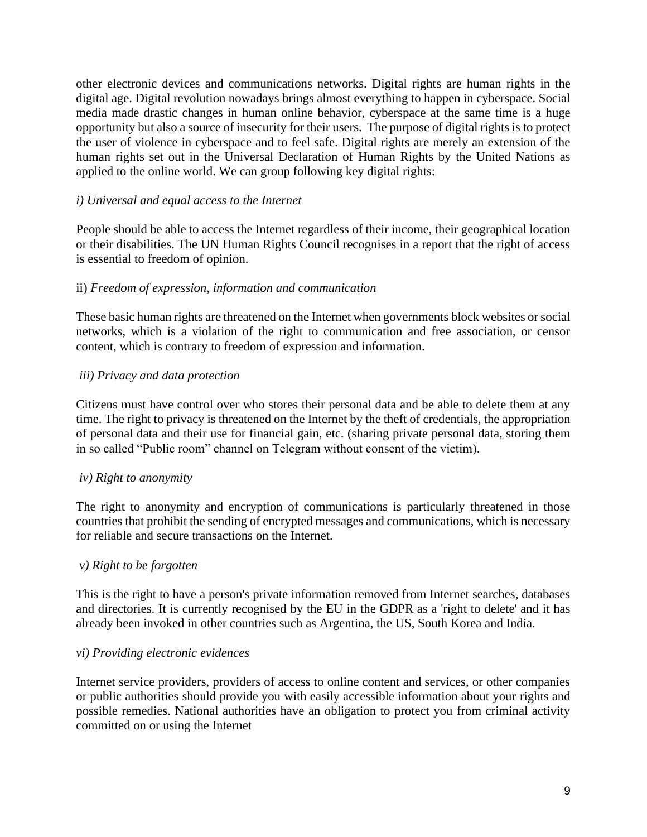other electronic devices and communications networks. Digital rights are human rights in the digital age. Digital revolution nowadays brings almost everything to happen in cyberspace. Social media made drastic changes in human online behavior, cyberspace at the same time is a huge opportunity but also a source of insecurity for their users. The purpose of digital rights is to protect the user of violence in cyberspace and to feel safe. Digital rights are merely an extension of the human rights set out in the Universal Declaration of Human Rights by the United Nations as applied to the online world. We can group following key digital rights:

### *i) Universal and equal access to the Internet*

People should be able to access the Internet regardless of their income, their geographical location or their disabilities. The UN Human Rights Council recognises in a report that the right of access is essential to freedom of opinion.

### ii) *Freedom of expression, information and communication*

These basic human rights are threatened on the Internet when governments block websites or social networks, which is a violation of the right to communication and free association, or censor content, which is contrary to freedom of expression and information.

### *iii) Privacy and data protection*

Citizens must have control over who stores their personal data and be able to delete them at any time. The right to privacy is threatened on the Internet by the theft of credentials, the appropriation of personal data and their use for financial gain, etc. (sharing private personal data, storing them in so called "Public room" channel on Telegram without consent of the victim).

#### *iv) Right to anonymity*

The right to anonymity and encryption of communications is particularly threatened in those countries that prohibit the sending of encrypted messages and communications, which is necessary for reliable and secure transactions on the Internet.

#### *v) Right to be forgotten*

This is the right to have a person's private information removed from Internet searches, databases and directories. It is currently recognised by the EU in the GDPR as a 'right to delete' and it has already been invoked in other countries such as Argentina, the US, South Korea and India.

#### *vi) Providing electronic evidences*

Internet service providers, providers of access to online content and services, or other companies or public authorities should provide you with easily accessible information about your rights and possible remedies. National authorities have an obligation to protect you from criminal activity committed on or using the Internet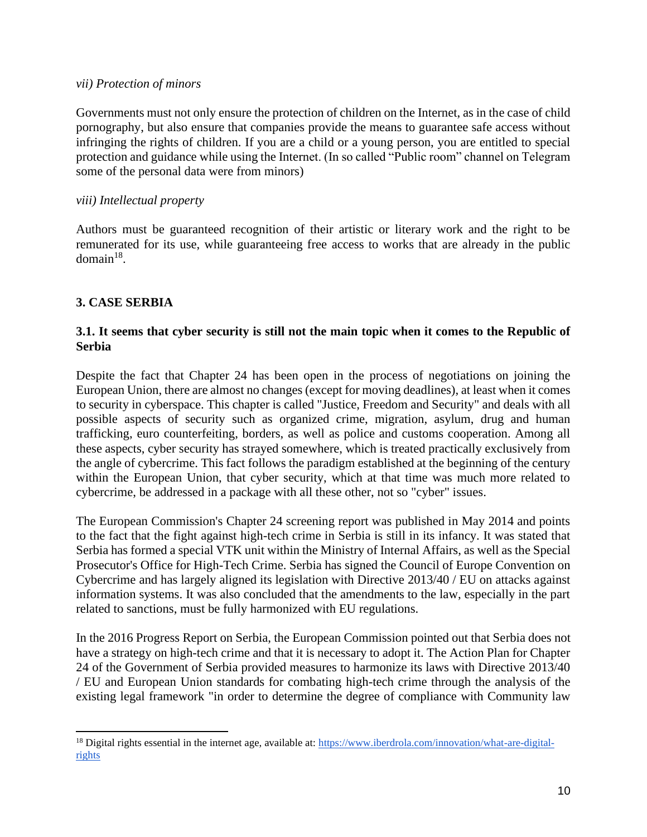#### *vii) Protection of minors*

Governments must not only ensure the protection of children on the Internet, as in the case of child pornography, but also ensure that companies provide the means to guarantee safe access without infringing the rights of children. If you are a child or a young person, you are entitled to special protection and guidance while using the Internet. (In so called "Public room" channel on Telegram some of the personal data were from minors)

#### *viii) Intellectual property*

Authors must be guaranteed recognition of their artistic or literary work and the right to be remunerated for its use, while guaranteeing free access to works that are already in the public  $domain<sup>18</sup>$ .

## **3. CASE SERBIA**

### **3.1. It seems that cyber security is still not the main topic when it comes to the Republic of Serbia**

Despite the fact that Chapter 24 has been open in the process of negotiations on joining the European Union, there are almost no changes (except for moving deadlines), at least when it comes to security in cyberspace. This chapter is called "Justice, Freedom and Security" and deals with all possible aspects of security such as organized crime, migration, asylum, drug and human trafficking, euro counterfeiting, borders, as well as police and customs cooperation. Among all these aspects, cyber security has strayed somewhere, which is treated practically exclusively from the angle of cybercrime. This fact follows the paradigm established at the beginning of the century within the European Union, that cyber security, which at that time was much more related to cybercrime, be addressed in a package with all these other, not so "cyber" issues.

The European Commission's Chapter 24 screening report was published in May 2014 and points to the fact that the fight against high-tech crime in Serbia is still in its infancy. It was stated that Serbia has formed a special VTK unit within the Ministry of Internal Affairs, as well as the Special Prosecutor's Office for High-Tech Crime. Serbia has signed the Council of Europe Convention on Cybercrime and has largely aligned its legislation with Directive 2013/40 / EU on attacks against information systems. It was also concluded that the amendments to the law, especially in the part related to sanctions, must be fully harmonized with EU regulations.

In the 2016 Progress Report on Serbia, the European Commission pointed out that Serbia does not have a strategy on high-tech crime and that it is necessary to adopt it. The Action Plan for Chapter 24 of the Government of Serbia provided measures to harmonize its laws with Directive 2013/40 / EU and European Union standards for combating high-tech crime through the analysis of the existing legal framework "in order to determine the degree of compliance with Community law

<sup>&</sup>lt;sup>18</sup> Digital rights essential in the internet age, available at: [https://www.iberdrola.com/innovation/what-are-digital](https://www.iberdrola.com/innovation/what-are-digital-rights)[rights](https://www.iberdrola.com/innovation/what-are-digital-rights)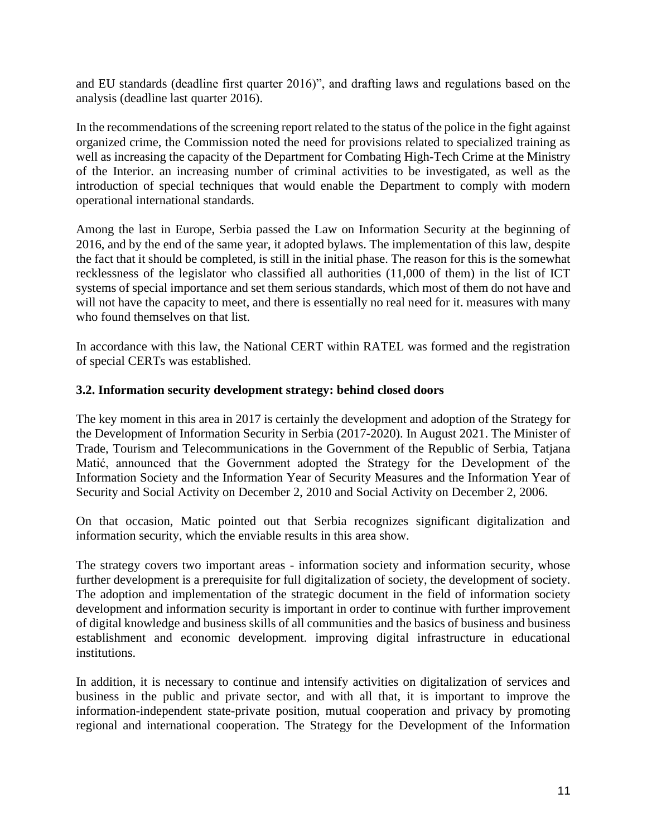and EU standards (deadline first quarter 2016)", and drafting laws and regulations based on the analysis (deadline last quarter 2016).

In the recommendations of the screening report related to the status of the police in the fight against organized crime, the Commission noted the need for provisions related to specialized training as well as increasing the capacity of the Department for Combating High-Tech Crime at the Ministry of the Interior. an increasing number of criminal activities to be investigated, as well as the introduction of special techniques that would enable the Department to comply with modern operational international standards.

Among the last in Europe, Serbia passed the Law on Information Security at the beginning of 2016, and by the end of the same year, it adopted bylaws. The implementation of this law, despite the fact that it should be completed, is still in the initial phase. The reason for this is the somewhat recklessness of the legislator who classified all authorities (11,000 of them) in the list of ICT systems of special importance and set them serious standards, which most of them do not have and will not have the capacity to meet, and there is essentially no real need for it. measures with many who found themselves on that list.

In accordance with this law, the National CERT within RATEL was formed and the registration of special CERTs was established.

### **3.2. Information security development strategy: behind closed doors**

The key moment in this area in 2017 is certainly the development and adoption of the Strategy for the Development of Information Security in Serbia (2017-2020). In August 2021. The Minister of Trade, Tourism and Telecommunications in the Government of the Republic of Serbia, Tatjana Matić, announced that the Government adopted the Strategy for the Development of the Information Society and the Information Year of Security Measures and the Information Year of Security and Social Activity on December 2, 2010 and Social Activity on December 2, 2006.

On that occasion, Matic pointed out that Serbia recognizes significant digitalization and information security, which the enviable results in this area show.

The strategy covers two important areas - information society and information security, whose further development is a prerequisite for full digitalization of society, the development of society. The adoption and implementation of the strategic document in the field of information society development and information security is important in order to continue with further improvement of digital knowledge and business skills of all communities and the basics of business and business establishment and economic development. improving digital infrastructure in educational institutions.

In addition, it is necessary to continue and intensify activities on digitalization of services and business in the public and private sector, and with all that, it is important to improve the information-independent state-private position, mutual cooperation and privacy by promoting regional and international cooperation. The Strategy for the Development of the Information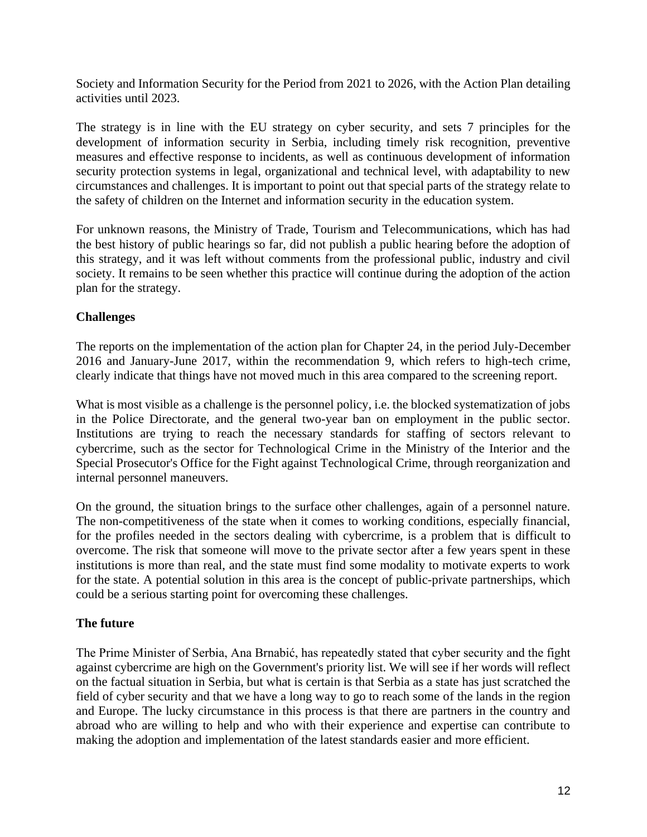Society and Information Security for the Period from 2021 to 2026, with the Action Plan detailing activities until 2023.

The strategy is in line with the EU strategy on cyber security, and sets 7 principles for the development of information security in Serbia, including timely risk recognition, preventive measures and effective response to incidents, as well as continuous development of information security protection systems in legal, organizational and technical level, with adaptability to new circumstances and challenges. It is important to point out that special parts of the strategy relate to the safety of children on the Internet and information security in the education system.

For unknown reasons, the Ministry of Trade, Tourism and Telecommunications, which has had the best history of public hearings so far, did not publish a public hearing before the adoption of this strategy, and it was left without comments from the professional public, industry and civil society. It remains to be seen whether this practice will continue during the adoption of the action plan for the strategy.

### **Challenges**

The reports on the implementation of the action plan for Chapter 24, in the period July-December 2016 and January-June 2017, within the recommendation 9, which refers to high-tech crime, clearly indicate that things have not moved much in this area compared to the screening report.

What is most visible as a challenge is the personnel policy, i.e. the blocked systematization of jobs in the Police Directorate, and the general two-year ban on employment in the public sector. Institutions are trying to reach the necessary standards for staffing of sectors relevant to cybercrime, such as the sector for Technological Crime in the Ministry of the Interior and the Special Prosecutor's Office for the Fight against Technological Crime, through reorganization and internal personnel maneuvers.

On the ground, the situation brings to the surface other challenges, again of a personnel nature. The non-competitiveness of the state when it comes to working conditions, especially financial, for the profiles needed in the sectors dealing with cybercrime, is a problem that is difficult to overcome. The risk that someone will move to the private sector after a few years spent in these institutions is more than real, and the state must find some modality to motivate experts to work for the state. A potential solution in this area is the concept of public-private partnerships, which could be a serious starting point for overcoming these challenges.

### **The future**

The Prime Minister of Serbia, Ana Brnabić, has repeatedly stated that cyber security and the fight against cybercrime are high on the Government's priority list. We will see if her words will reflect on the factual situation in Serbia, but what is certain is that Serbia as a state has just scratched the field of cyber security and that we have a long way to go to reach some of the lands in the region and Europe. The lucky circumstance in this process is that there are partners in the country and abroad who are willing to help and who with their experience and expertise can contribute to making the adoption and implementation of the latest standards easier and more efficient.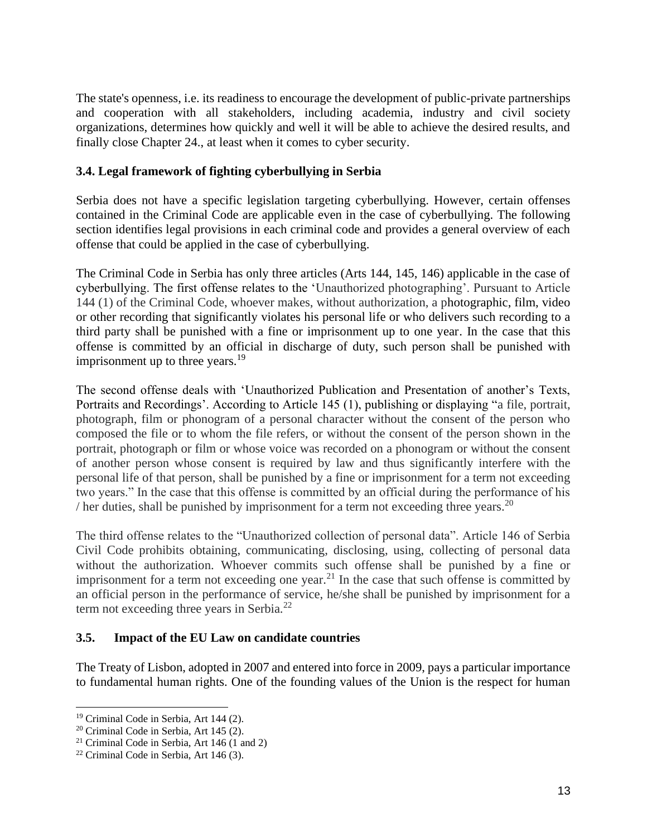The state's openness, i.e. its readiness to encourage the development of public-private partnerships and cooperation with all stakeholders, including academia, industry and civil society organizations, determines how quickly and well it will be able to achieve the desired results, and finally close Chapter 24., at least when it comes to cyber security.

### **3.4. Legal framework of fighting cyberbullying in Serbia**

Serbia does not have a specific legislation targeting cyberbullying. However, certain offenses contained in the Criminal Code are applicable even in the case of cyberbullying. The following section identifies legal provisions in each criminal code and provides a general overview of each offense that could be applied in the case of cyberbullying.

The Criminal Code in Serbia has only three articles (Arts 144, 145, 146) applicable in the case of cyberbullying. The first offense relates to the 'Unauthorized photographing'. Pursuant to Article 144 (1) of the Criminal Code, whoever makes, without authorization, a photographic, film, video or other recording that significantly violates his personal life or who delivers such recording to a third party shall be punished with a fine or imprisonment up to one year. In the case that this offense is committed by an official in discharge of duty, such person shall be punished with imprisonment up to three years. $19$ 

The second offense deals with 'Unauthorized Publication and Presentation of another's Texts, Portraits and Recordings'. According to Article 145 (1), publishing or displaying "a file, portrait, photograph, film or phonogram of a personal character without the consent of the person who composed the file or to whom the file refers, or without the consent of the person shown in the portrait, photograph or film or whose voice was recorded on a phonogram or without the consent of another person whose consent is required by law and thus significantly interfere with the personal life of that person, shall be punished by a fine or imprisonment for a term not exceeding two years." In the case that this offense is committed by an official during the performance of his / her duties, shall be punished by imprisonment for a term not exceeding three years.<sup>20</sup>

The third offense relates to the "Unauthorized collection of personal data". Article 146 of Serbia Civil Code prohibits obtaining, communicating, disclosing, using, collecting of personal data without the authorization. Whoever commits such offense shall be punished by a fine or imprisonment for a term not exceeding one year.<sup>21</sup> In the case that such offense is committed by an official person in the performance of service, he/she shall be punished by imprisonment for a term not exceeding three years in Serbia.<sup>22</sup>

### **3.5. Impact of the EU Law on candidate countries**

The Treaty of Lisbon, adopted in 2007 and entered into force in 2009, pays a particular importance to fundamental human rights. One of the founding values of the Union is the respect for human

<sup>&</sup>lt;sup>19</sup> Criminal Code in Serbia, Art 144 (2).

<sup>20</sup> Criminal Code in Serbia, Art 145 (2).

<sup>21</sup> Criminal Code in Serbia, Art 146 (1 and 2)

<sup>22</sup> Criminal Code in Serbia, Art 146 (3).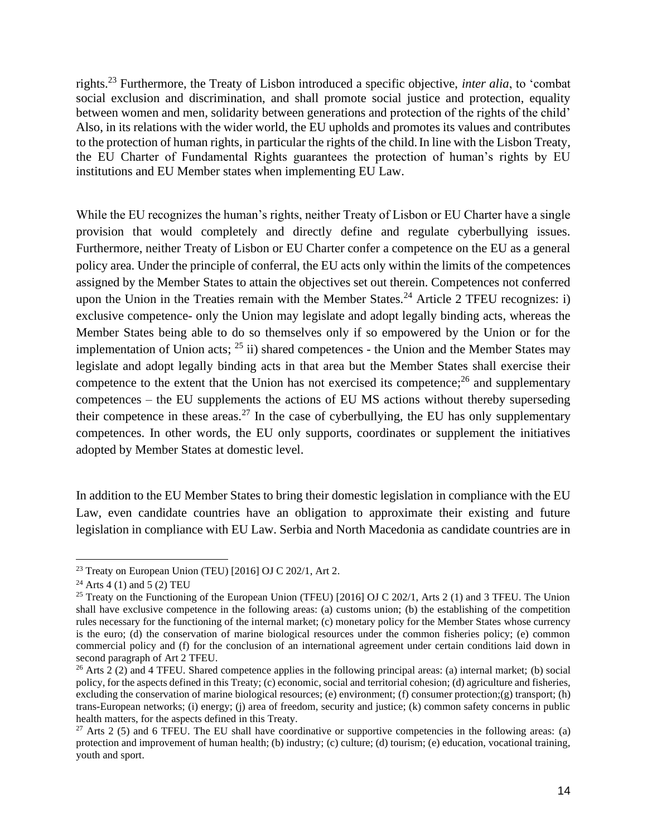rights.<sup>23</sup> Furthermore, the Treaty of Lisbon introduced a specific objective, *inter alia*, to 'combat social exclusion and discrimination, and shall promote social justice and protection, equality between women and men, solidarity between generations and protection of the rights of the child' Also, in its relations with the wider world, the EU upholds and promotes its values and contributes to the protection of human rights, in particular the rights of the child.In line with the Lisbon Treaty, the EU Charter of Fundamental Rights guarantees the protection of human's rights by EU institutions and EU Member states when implementing EU Law.

While the EU recognizes the human's rights, neither Treaty of Lisbon or EU Charter have a single provision that would completely and directly define and regulate cyberbullying issues. Furthermore, neither Treaty of Lisbon or EU Charter confer a competence on the EU as a general policy area. Under the principle of conferral, the EU acts only within the limits of the competences assigned by the Member States to attain the objectives set out therein. Competences not conferred upon the Union in the Treaties remain with the Member States.<sup>24</sup> Article 2 TFEU recognizes: i) exclusive competence- only the Union may legislate and adopt legally binding acts, whereas the Member States being able to do so themselves only if so empowered by the Union or for the implementation of Union acts;  $^{25}$  ii) shared competences - the Union and the Member States may legislate and adopt legally binding acts in that area but the Member States shall exercise their competence to the extent that the Union has not exercised its competence;<sup>26</sup> and supplementary competences – the EU supplements the actions of EU MS actions without thereby superseding their competence in these areas.<sup>27</sup> In the case of cyberbullying, the EU has only supplementary competences. In other words, the EU only supports, coordinates or supplement the initiatives adopted by Member States at domestic level.

In addition to the EU Member States to bring their domestic legislation in compliance with the EU Law, even candidate countries have an obligation to approximate their existing and future legislation in compliance with EU Law. Serbia and North Macedonia as candidate countries are in

<sup>&</sup>lt;sup>23</sup> Treaty on European Union (TEU) [2016] OJ C 202/1, Art 2.

<sup>&</sup>lt;sup>24</sup> Arts 4 (1) and 5 (2) TEU

<sup>&</sup>lt;sup>25</sup> Treaty on the Functioning of the European Union (TFEU) [2016] OJ C 202/1, Arts 2 (1) and 3 TFEU. The Union shall have exclusive competence in the following areas: (a) customs union; (b) the establishing of the competition rules necessary for the functioning of the internal market; (c) monetary policy for the Member States whose currency is the euro; (d) the conservation of marine biological resources under the common fisheries policy; (e) common commercial policy and (f) for the conclusion of an international agreement under certain conditions laid down in second paragraph of Art 2 TFEU.

<sup>&</sup>lt;sup>26</sup> Arts  $2$  (2) and 4 TFEU. Shared competence applies in the following principal areas: (a) internal market; (b) social policy, for the aspects defined in this Treaty; (c) economic, social and territorial cohesion; (d) agriculture and fisheries, excluding the conservation of marine biological resources; (e) environment; (f) consumer protection;(g) transport; (h) trans-European networks; (i) energy; (j) area of freedom, security and justice; (k) common safety concerns in public health matters, for the aspects defined in this Treaty.

 $27$  Arts 2 (5) and 6 TFEU. The EU shall have coordinative or supportive competencies in the following areas: (a) protection and improvement of human health; (b) industry; (c) culture; (d) tourism; (e) education, vocational training, youth and sport.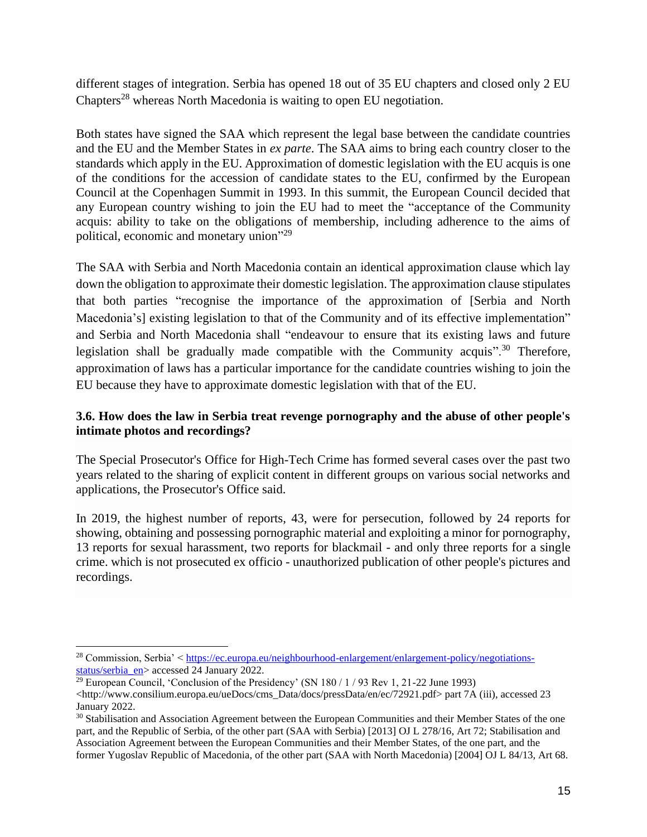different stages of integration. Serbia has opened 18 out of 35 EU chapters and closed only 2 EU Chapters<sup>28</sup> whereas North Macedonia is waiting to open EU negotiation.

Both states have signed the SAA which represent the legal base between the candidate countries and the EU and the Member States in *ex parte*. The SAA aims to bring each country closer to the standards which apply in the EU. Approximation of domestic legislation with the EU acquis is one of the conditions for the accession of candidate states to the EU, confirmed by the European Council at the Copenhagen Summit in 1993. In this summit, the European Council decided that any European country wishing to join the EU had to meet the "acceptance of the Community acquis: ability to take on the obligations of membership, including adherence to the aims of political, economic and monetary union"<sup>29</sup>

The SAA with Serbia and North Macedonia contain an identical approximation clause which lay down the obligation to approximate their domestic legislation. The approximation clause stipulates that both parties "recognise the importance of the approximation of [Serbia and North Macedonia's] existing legislation to that of the Community and of its effective implementation" and Serbia and North Macedonia shall "endeavour to ensure that its existing laws and future legislation shall be gradually made compatible with the Community acquis".<sup>30</sup> Therefore, approximation of laws has a particular importance for the candidate countries wishing to join the EU because they have to approximate domestic legislation with that of the EU.

## **3.6. How does the law in Serbia treat revenge pornography and the abuse of other people's intimate photos and recordings?**

The Special Prosecutor's Office for High-Tech Crime has formed several cases over the past two years related to the sharing of explicit content in different groups on various social networks and applications, the Prosecutor's Office said.

In 2019, the highest number of reports, 43, were for persecution, followed by 24 reports for showing, obtaining and possessing pornographic material and exploiting a minor for pornography, 13 reports for sexual harassment, two reports for blackmail - and only three reports for a single crime. which is not prosecuted ex officio - unauthorized publication of other people's pictures and recordings.

<sup>&</sup>lt;sup>28</sup> Commission, Serbia' < [https://ec.europa.eu/neighbourhood-enlargement/enlargement-policy/negotiations](https://ec.europa.eu/neighbourhood-enlargement/enlargement-policy/negotiations-status/serbia_en)[status/serbia\\_en>](https://ec.europa.eu/neighbourhood-enlargement/enlargement-policy/negotiations-status/serbia_en) accessed 24 January 2022.

<sup>&</sup>lt;sup>29</sup> European Council, 'Conclusion of the Presidency' (SN  $180/1/93$  Rev 1, 21-22 June 1993) <http://www.consilium.europa.eu/ueDocs/cms\_Data/docs/pressData/en/ec/72921.pdf> part 7A (iii), accessed 23 January 2022.

<sup>&</sup>lt;sup>30</sup> Stabilisation and Association Agreement between the European Communities and their Member States of the one part, and the Republic of Serbia, of the other part (SAA with Serbia) [2013] OJ L 278/16, Art 72; Stabilisation and Association Agreement between the European Communities and their Member States, of the one part, and the former Yugoslav Republic of Macedonia, of the other part (SAA with North Macedonia) [2004] OJ L 84/13, Art 68.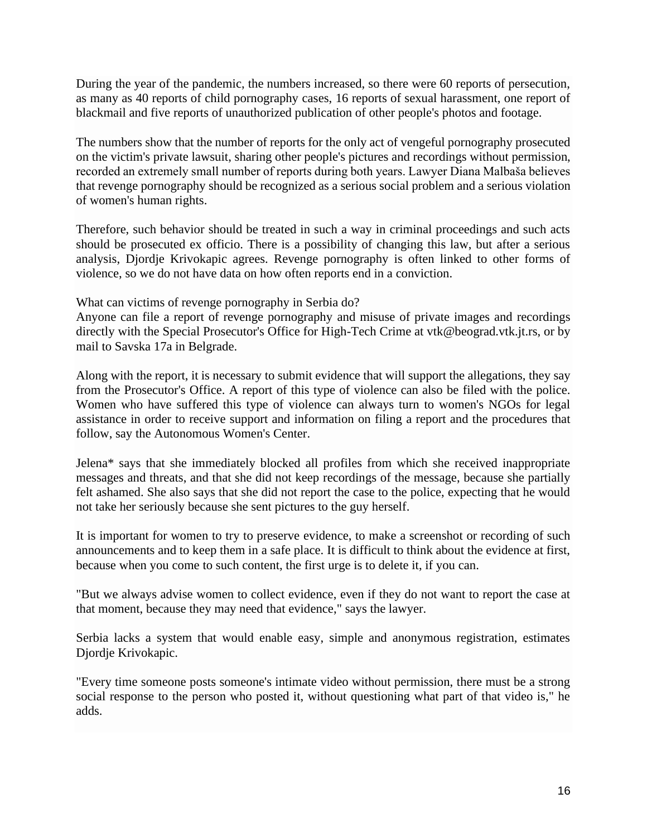During the year of the pandemic, the numbers increased, so there were 60 reports of persecution, as many as 40 reports of child pornography cases, 16 reports of sexual harassment, one report of blackmail and five reports of unauthorized publication of other people's photos and footage.

The numbers show that the number of reports for the only act of vengeful pornography prosecuted on the victim's private lawsuit, sharing other people's pictures and recordings without permission, recorded an extremely small number of reports during both years. Lawyer Diana Malbaša believes that revenge pornography should be recognized as a serious social problem and a serious violation of women's human rights.

Therefore, such behavior should be treated in such a way in criminal proceedings and such acts should be prosecuted ex officio. There is a possibility of changing this law, but after a serious analysis, Djordje Krivokapic agrees. Revenge pornography is often linked to other forms of violence, so we do not have data on how often reports end in a conviction.

What can victims of revenge pornography in Serbia do?

Anyone can file a report of revenge pornography and misuse of private images and recordings directly with the Special Prosecutor's Office for High-Tech Crime at vtk@beograd.vtk.jt.rs, or by mail to Savska 17a in Belgrade.

Along with the report, it is necessary to submit evidence that will support the allegations, they say from the Prosecutor's Office. A report of this type of violence can also be filed with the police. Women who have suffered this type of violence can always turn to women's NGOs for legal assistance in order to receive support and information on filing a report and the procedures that follow, say the Autonomous Women's Center.

Jelena\* says that she immediately blocked all profiles from which she received inappropriate messages and threats, and that she did not keep recordings of the message, because she partially felt ashamed. She also says that she did not report the case to the police, expecting that he would not take her seriously because she sent pictures to the guy herself.

It is important for women to try to preserve evidence, to make a screenshot or recording of such announcements and to keep them in a safe place. It is difficult to think about the evidence at first, because when you come to such content, the first urge is to delete it, if you can.

"But we always advise women to collect evidence, even if they do not want to report the case at that moment, because they may need that evidence," says the lawyer.

Serbia lacks a system that would enable easy, simple and anonymous registration, estimates Djordje Krivokapic.

"Every time someone posts someone's intimate video without permission, there must be a strong social response to the person who posted it, without questioning what part of that video is," he adds.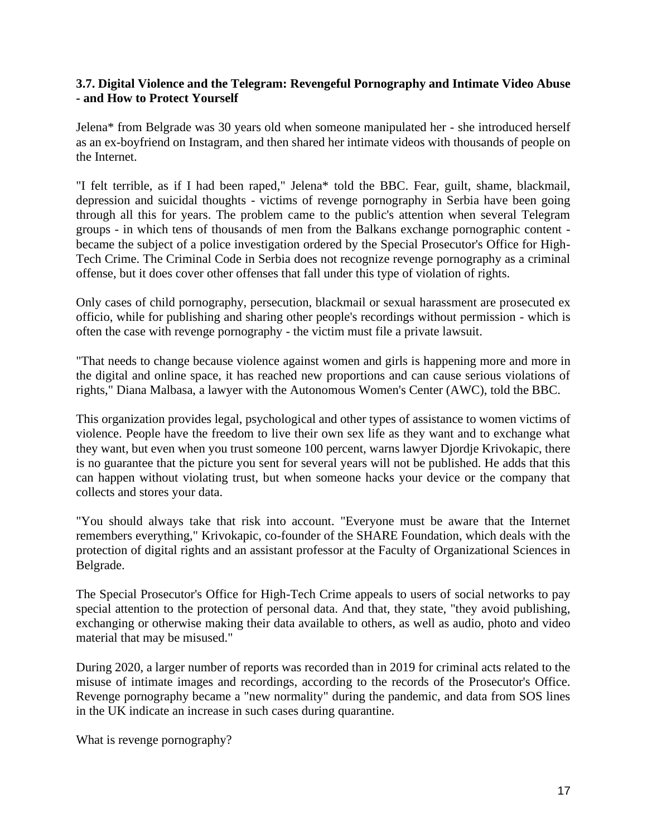### **3.7. Digital Violence and the Telegram: Revengeful Pornography and Intimate Video Abuse - and How to Protect Yourself**

Jelena\* from Belgrade was 30 years old when someone manipulated her - she introduced herself as an ex-boyfriend on Instagram, and then shared her intimate videos with thousands of people on the Internet.

"I felt terrible, as if I had been raped," Jelena\* told the BBC. Fear, guilt, shame, blackmail, depression and suicidal thoughts - victims of revenge pornography in Serbia have been going through all this for years. The problem came to the public's attention when several Telegram groups - in which tens of thousands of men from the Balkans exchange pornographic content became the subject of a police investigation ordered by the Special Prosecutor's Office for High-Tech Crime. The Criminal Code in Serbia does not recognize revenge pornography as a criminal offense, but it does cover other offenses that fall under this type of violation of rights.

Only cases of child pornography, persecution, blackmail or sexual harassment are prosecuted ex officio, while for publishing and sharing other people's recordings without permission - which is often the case with revenge pornography - the victim must file a private lawsuit.

"That needs to change because violence against women and girls is happening more and more in the digital and online space, it has reached new proportions and can cause serious violations of rights," Diana Malbasa, a lawyer with the Autonomous Women's Center (AWC), told the BBC.

This organization provides legal, psychological and other types of assistance to women victims of violence. People have the freedom to live their own sex life as they want and to exchange what they want, but even when you trust someone 100 percent, warns lawyer Djordje Krivokapic, there is no guarantee that the picture you sent for several years will not be published. He adds that this can happen without violating trust, but when someone hacks your device or the company that collects and stores your data.

"You should always take that risk into account. "Everyone must be aware that the Internet remembers everything," Krivokapic, co-founder of the SHARE Foundation, which deals with the protection of digital rights and an assistant professor at the Faculty of Organizational Sciences in Belgrade.

The Special Prosecutor's Office for High-Tech Crime appeals to users of social networks to pay special attention to the protection of personal data. And that, they state, "they avoid publishing, exchanging or otherwise making their data available to others, as well as audio, photo and video material that may be misused."

During 2020, a larger number of reports was recorded than in 2019 for criminal acts related to the misuse of intimate images and recordings, according to the records of the Prosecutor's Office. Revenge pornography became a "new normality" during the pandemic, and data from SOS lines in the UK indicate an increase in such cases during quarantine.

What is revenge pornography?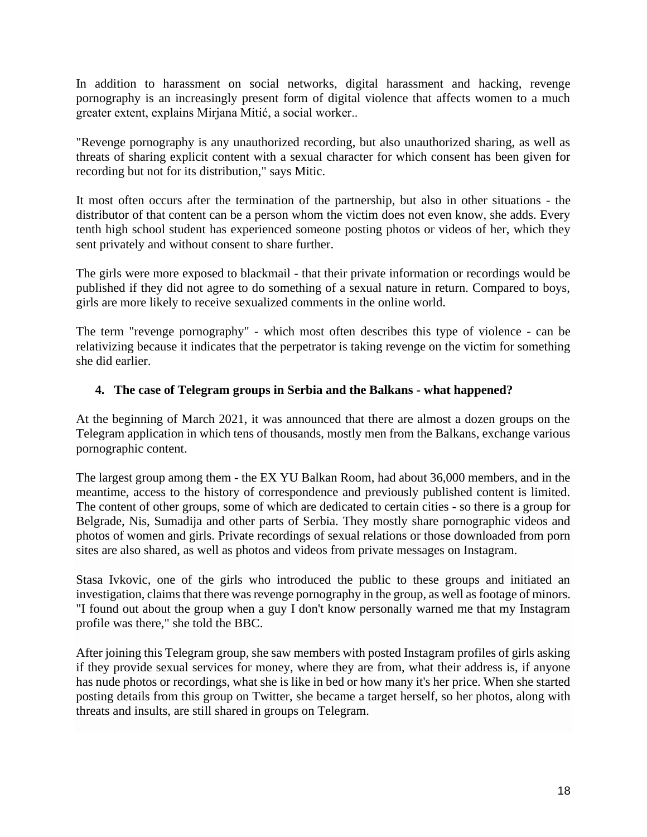In addition to harassment on social networks, digital harassment and hacking, revenge pornography is an increasingly present form of digital violence that affects women to a much greater extent, explains Mirjana Mitić, a social worker..

"Revenge pornography is any unauthorized recording, but also unauthorized sharing, as well as threats of sharing explicit content with a sexual character for which consent has been given for recording but not for its distribution," says Mitic.

It most often occurs after the termination of the partnership, but also in other situations - the distributor of that content can be a person whom the victim does not even know, she adds. Every tenth high school student has experienced someone posting photos or videos of her, which they sent privately and without consent to share further.

The girls were more exposed to blackmail - that their private information or recordings would be published if they did not agree to do something of a sexual nature in return. Compared to boys, girls are more likely to receive sexualized comments in the online world.

The term "revenge pornography" - which most often describes this type of violence - can be relativizing because it indicates that the perpetrator is taking revenge on the victim for something she did earlier.

### **4. The case of Telegram groups in Serbia and the Balkans - what happened?**

At the beginning of March 2021, it was announced that there are almost a dozen groups on the Telegram application in which tens of thousands, mostly men from the Balkans, exchange various pornographic content.

The largest group among them - the EX YU Balkan Room, had about 36,000 members, and in the meantime, access to the history of correspondence and previously published content is limited. The content of other groups, some of which are dedicated to certain cities - so there is a group for Belgrade, Nis, Sumadija and other parts of Serbia. They mostly share pornographic videos and photos of women and girls. Private recordings of sexual relations or those downloaded from porn sites are also shared, as well as photos and videos from private messages on Instagram.

Stasa Ivkovic, one of the girls who introduced the public to these groups and initiated an investigation, claims that there was revenge pornography in the group, as well as footage of minors. "I found out about the group when a guy I don't know personally warned me that my Instagram profile was there," she told the BBC.

After joining this Telegram group, she saw members with posted Instagram profiles of girls asking if they provide sexual services for money, where they are from, what their address is, if anyone has nude photos or recordings, what she is like in bed or how many it's her price. When she started posting details from this group on Twitter, she became a target herself, so her photos, along with threats and insults, are still shared in groups on Telegram.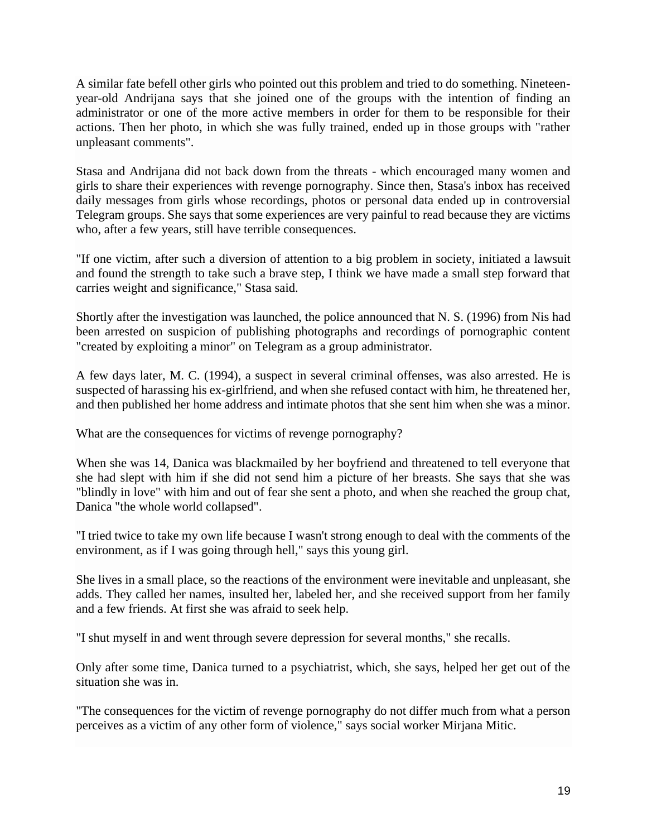A similar fate befell other girls who pointed out this problem and tried to do something. Nineteenyear-old Andrijana says that she joined one of the groups with the intention of finding an administrator or one of the more active members in order for them to be responsible for their actions. Then her photo, in which she was fully trained, ended up in those groups with "rather unpleasant comments".

Stasa and Andrijana did not back down from the threats - which encouraged many women and girls to share their experiences with revenge pornography. Since then, Stasa's inbox has received daily messages from girls whose recordings, photos or personal data ended up in controversial Telegram groups. She says that some experiences are very painful to read because they are victims who, after a few years, still have terrible consequences.

"If one victim, after such a diversion of attention to a big problem in society, initiated a lawsuit and found the strength to take such a brave step, I think we have made a small step forward that carries weight and significance," Stasa said.

Shortly after the investigation was launched, the police announced that N. S. (1996) from Nis had been arrested on suspicion of publishing photographs and recordings of pornographic content "created by exploiting a minor" on Telegram as a group administrator.

A few days later, M. C. (1994), a suspect in several criminal offenses, was also arrested. He is suspected of harassing his ex-girlfriend, and when she refused contact with him, he threatened her, and then published her home address and intimate photos that she sent him when she was a minor.

What are the consequences for victims of revenge pornography?

When she was 14, Danica was blackmailed by her boyfriend and threatened to tell everyone that she had slept with him if she did not send him a picture of her breasts. She says that she was "blindly in love" with him and out of fear she sent a photo, and when she reached the group chat, Danica "the whole world collapsed".

"I tried twice to take my own life because I wasn't strong enough to deal with the comments of the environment, as if I was going through hell," says this young girl.

She lives in a small place, so the reactions of the environment were inevitable and unpleasant, she adds. They called her names, insulted her, labeled her, and she received support from her family and a few friends. At first she was afraid to seek help.

"I shut myself in and went through severe depression for several months," she recalls.

Only after some time, Danica turned to a psychiatrist, which, she says, helped her get out of the situation she was in.

"The consequences for the victim of revenge pornography do not differ much from what a person perceives as a victim of any other form of violence," says social worker Mirjana Mitic.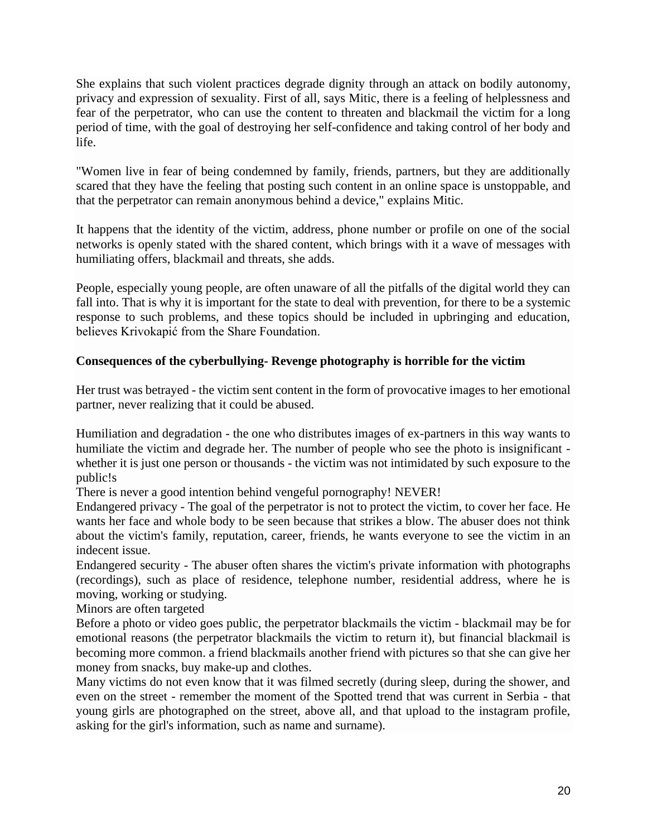She explains that such violent practices degrade dignity through an attack on bodily autonomy, privacy and expression of sexuality. First of all, says Mitic, there is a feeling of helplessness and fear of the perpetrator, who can use the content to threaten and blackmail the victim for a long period of time, with the goal of destroying her self-confidence and taking control of her body and life.

"Women live in fear of being condemned by family, friends, partners, but they are additionally scared that they have the feeling that posting such content in an online space is unstoppable, and that the perpetrator can remain anonymous behind a device," explains Mitic.

It happens that the identity of the victim, address, phone number or profile on one of the social networks is openly stated with the shared content, which brings with it a wave of messages with humiliating offers, blackmail and threats, she adds.

People, especially young people, are often unaware of all the pitfalls of the digital world they can fall into. That is why it is important for the state to deal with prevention, for there to be a systemic response to such problems, and these topics should be included in upbringing and education, believes Krivokapić from the Share Foundation.

## **Consequences of the cyberbullying- Revenge photography is horrible for the victim**

Her trust was betrayed - the victim sent content in the form of provocative images to her emotional partner, never realizing that it could be abused.

Humiliation and degradation - the one who distributes images of ex-partners in this way wants to humiliate the victim and degrade her. The number of people who see the photo is insignificant whether it is just one person or thousands - the victim was not intimidated by such exposure to the public!s

There is never a good intention behind vengeful pornography! NEVER!

Endangered privacy - The goal of the perpetrator is not to protect the victim, to cover her face. He wants her face and whole body to be seen because that strikes a blow. The abuser does not think about the victim's family, reputation, career, friends, he wants everyone to see the victim in an indecent issue.

Endangered security - The abuser often shares the victim's private information with photographs (recordings), such as place of residence, telephone number, residential address, where he is moving, working or studying.

Minors are often targeted

Before a photo or video goes public, the perpetrator blackmails the victim - blackmail may be for emotional reasons (the perpetrator blackmails the victim to return it), but financial blackmail is becoming more common. a friend blackmails another friend with pictures so that she can give her money from snacks, buy make-up and clothes.

Many victims do not even know that it was filmed secretly (during sleep, during the shower, and even on the street - remember the moment of the Spotted trend that was current in Serbia - that young girls are photographed on the street, above all, and that upload to the instagram profile, asking for the girl's information, such as name and surname).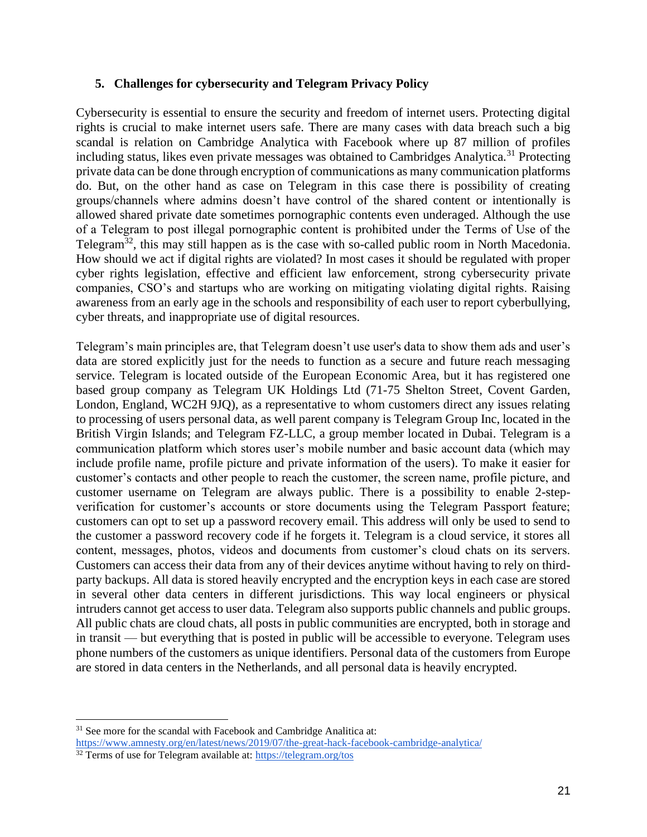#### **5. Challenges for cybersecurity and Telegram Privacy Policy**

Cybersecurity is essential to ensure the security and freedom of internet users. Protecting digital rights is crucial to make internet users safe. There are many cases with data breach such a big scandal is relation on Cambridge Analytica with Facebook where up 87 million of profiles including status, likes even private messages was obtained to Cambridges Analytica.<sup>31</sup> Protecting private data can be done through encryption of communications as many communication platforms do. But, on the other hand as case on Telegram in this case there is possibility of creating groups/channels where admins doesn't have control of the shared content or intentionally is allowed shared private date sometimes pornographic contents even underaged. Although the use of a Тelegram to post illegal pornographic content is prohibited under the Terms of Use of the Telegram<sup>32</sup>, this may still happen as is the case with so-called public room in North Macedonia. How should we act if digital rights are violated? In most cases it should be regulated with proper cyber rights legislation, effective and efficient law enforcement, strong cybersecurity private companies, CSO's and startups who are working on mitigating violating digital rights. Raising awareness from an early age in the schools and responsibility of each user to report cyberbullying, cyber threats, and inappropriate use of digital resources.

Telegram's main principles are, that Telegram doesn't use user's data to show them ads and user's data are stored explicitly just for the needs to function as a secure and future reach messaging service. Telegram is located outside of the European Economic Area, but it has registered one based group company as Telegram UK Holdings Ltd (71-75 Shelton Street, Covent Garden, London, England, WC2H 9JQ), as a representative to whom customers direct any issues relating to processing of users personal data, as well parent company is Telegram Group Inc, located in the British Virgin Islands; and Telegram FZ-LLC, a group member located in Dubai. Telegram is a communication platform which stores user's mobile number and basic account data (which may include profile name, profile picture and private information of the users). To make it easier for customer's contacts and other people to reach the customer, the screen name, profile picture, and customer username on Telegram are always public. There is a possibility to enable 2-stepverification for customer's accounts or store documents using the Telegram Passport feature; customers can opt to set up a password recovery email. This address will only be used to send to the customer a password recovery code if he forgets it. Telegram is a cloud service, it stores all content, messages, photos, videos and documents from customer's cloud chats on its servers. Customers can access their data from any of their devices anytime without having to rely on thirdparty backups. All data is stored heavily encrypted and the encryption keys in each case are stored in several other data centers in different jurisdictions. This way local engineers or physical intruders cannot get access to user data. Telegram also supports public channels and public groups. All public chats are cloud chats, all posts in public communities are encrypted, both in storage and in transit — but everything that is posted in public will be accessible to everyone. Telegram uses phone numbers of the customers as unique identifiers. Personal data of the customers from Europe are stored in data centers in the Netherlands, and all personal data is heavily encrypted.

<sup>&</sup>lt;sup>31</sup> See more for the scandal with Facebook and Cambridge Analitica at: <https://www.amnesty.org/en/latest/news/2019/07/the-great-hack-facebook-cambridge-analytica/>

<sup>&</sup>lt;sup>32</sup> Terms of use for Telegram available at:<https://telegram.org/tos>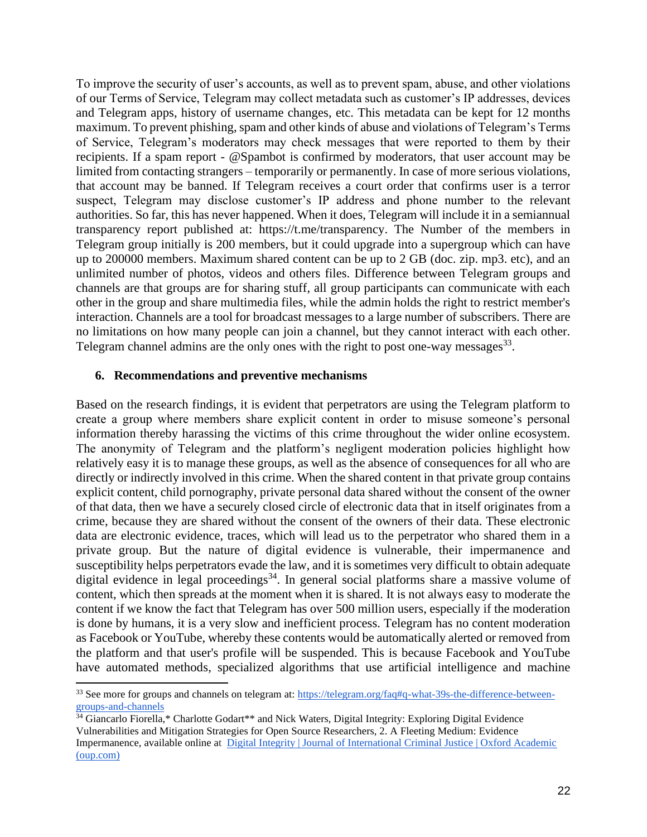To improve the security of user's accounts, as well as to prevent spam, abuse, and other violations of our Terms of Service, Telegram may collect metadata such as customer's IP addresses, devices and Telegram apps, history of username changes, etc. This metadata can be kept for 12 months maximum. To prevent phishing, spam and other kinds of abuse and violations of Telegram's Terms of Service, Telegram's moderators may check messages that were reported to them by their recipients. If a spam report - [@Spambot](https://t.me/spambot) is confirmed by moderators, that user account may be limited from contacting strangers – temporarily or permanently. In case of more serious violations, that account may be banned. If Telegram receives a court order that confirms user is a terror suspect, Telegram may disclose customer's IP address and phone number to the relevant authorities. So far, this has never happened. When it does, Telegram will include it in a semiannual transparency report published at: [https://t.me/transparency.](https://t.me/transparency) The Number of the members in Telegram group initially is 200 members, but it could upgrade into a supergroup which can have up to 200000 members. Maximum shared content can be up to 2 GB (doc. zip. mp3. etc), and an unlimited number of photos, videos and others files. Difference between Telegram groups and channels are that groups are for sharing stuff, all group participants can communicate with each other in the group and share multimedia files, while the admin holds the right to restrict member's interaction. Channels are a tool for broadcast messages to a large number of subscribers. There are no limitations on how many people can join a channel, but they cannot interact with each other. Telegram channel admins are the only ones with the right to post one-way messages $^{33}$ .

#### **6. Recommendations and preventive mechanisms**

Based on the research findings, it is evident that perpetrators are using the Telegram platform to create a group where members share explicit content in order to misuse someone's personal information thereby harassing the victims of this crime throughout the wider online ecosystem. The anonymity of Telegram and the platform's negligent moderation policies highlight how relatively easy it is to manage these groups, as well as the absence of consequences for all who are directly or indirectly involved in this crime. When the shared content in that private group contains explicit content, child pornography, private personal data shared without the consent of the owner of that data, then we have a securely closed circle of electronic data that in itself originates from a crime, because they are shared without the consent of the owners of their data. These electronic data are electronic evidence, traces, which will lead us to the perpetrator who shared them in a private group. But the nature of digital evidence is vulnerable, their impermanence and susceptibility helps perpetrators evade the law, and it is sometimes very difficult to obtain adequate digital evidence in legal proceedings $34$ . In general social platforms share a massive volume of content, which then spreads at the moment when it is shared. It is not always easy to moderate the content if we know the fact that Telegram has over 500 million users, especially if the moderation is done by humans, it is a very slow and inefficient process. Telegram has no content moderation as Facebook or YouTube, whereby these contents would be automatically alerted or removed from the platform and that user's profile will be suspended. This is because Facebook and YouTube have automated methods, specialized algorithms that use artificial intelligence and machine

<sup>33</sup> See more for groups and channels on telegram at: [https://telegram.org/faq#q-what-39s-the-difference-between](https://telegram.org/faq#q-what-39s-the-difference-between-groups-and-channels)[groups-and-channels](https://telegram.org/faq#q-what-39s-the-difference-between-groups-and-channels)

<sup>&</sup>lt;sup>34</sup> Giancarlo Fiorella,\* Charlotte Godart\*\* and Nick Waters, Digital Integrity: Exploring Digital Evidence Vulnerabilities and Mitigation Strategies for Open Source Researchers, 2. A Fleeting Medium: Evidence Impermanence, available online at [Digital Integrity | Journal of International Criminal Justice | Oxford Academic](https://academic.oup.com/jicj/article/19/1/147/6320889?login=true)  [\(oup.com\)](https://academic.oup.com/jicj/article/19/1/147/6320889?login=true)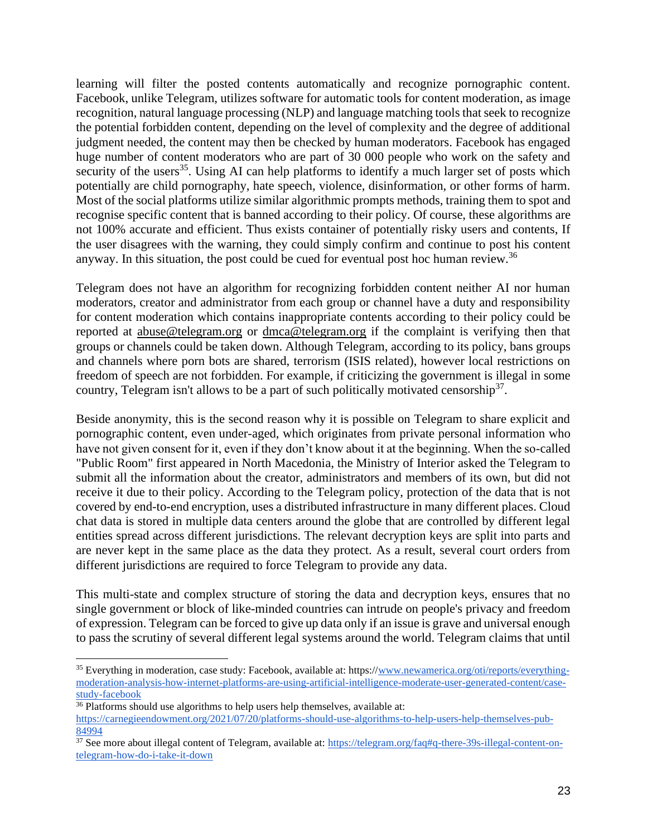learning will filter the posted contents automatically and recognize pornographic content. Facebook, unlike Telegram, utilizes software for automatic tools for content moderation, as image recognition, natural language processing (NLP) and language matching tools that seek to recognize the potential forbidden content, depending on the level of complexity and the degree of additional judgment needed, the content may then be checked by human moderators. Facebook has engaged huge number of content moderators who are part of 30 000 people who work on the safety and security of the users<sup>35</sup>. Using AI can help platforms to identify a much larger set of posts which potentially are child pornography, hate speech, violence, disinformation, or other forms of harm. Most of the social platforms utilize similar algorithmic prompts methods, training them to spot and recognise specific content that is banned according to their policy. Of course, these algorithms are not 100% accurate and efficient. Thus exists container of potentially risky users and contents, If the user disagrees with the warning, they could simply confirm and continue to post his content anyway. In this situation, the post could be cued for eventual post hoc human review.<sup>36</sup>

Telegram does not have an algorithm for recognizing forbidden content neither AI nor human moderators, creator and administrator from each group or channel have a duty and responsibility for content moderation which contains inappropriate contents according to their policy could be reported at [abuse@telegram.org](mailto:abuse@telegram.org) or [dmca@telegram.org](mailto:dmca@telegram.org) if the complaint is verifying then that groups or channels could be taken down. Although Telegram, according to its policy, bans groups and channels where porn bots are shared, terrorism (ISIS related), however local restrictions on freedom of speech are not forbidden. For example, if criticizing the government is illegal in some country, Telegram isn't allows to be a part of such politically motivated censorship<sup>37</sup>.

Beside anonymity, this is the second reason why it is possible on Telegram to share explicit and pornographic content, even under-aged, which originates from private personal information who have not given consent for it, even if they don't know about it at the beginning. When the so-called "Public Room" first appeared in North Macedonia, the Ministry of Interior asked the Telegram to submit all the information about the creator, administrators and members of its own, but did not receive it due to their policy. According to the Telegram policy, protection of the data that is not covered by end-to-end encryption, uses a distributed infrastructure in many different places. Cloud chat data is stored in multiple data centers around the globe that are controlled by different legal entities spread across different jurisdictions. The relevant decryption keys are split into parts and are never kept in the same place as the data they protect. As a result, several court orders from different jurisdictions are required to force Telegram to provide any data.

This multi-state and complex structure of storing the data and decryption keys, ensures that no single government or block of like-minded countries can intrude on people's privacy and freedom of expression. Telegram can be forced to give up data only if an issue is grave and universal enough to pass the scrutiny of several different legal systems around the world. Telegram claims that until

<sup>35</sup> Everything in moderation, case study: Facebook, available at: https:/[/www.newamerica.org/oti/reports/everything](http://www.newamerica.org/oti/reports/everything-moderation-analysis-how-internet-platforms-are-using-artificial-intelligence-moderate-user-generated-content/case-study-facebook)[moderation-analysis-how-internet-platforms-are-using-artificial-intelligence-moderate-user-generated-content/case](http://www.newamerica.org/oti/reports/everything-moderation-analysis-how-internet-platforms-are-using-artificial-intelligence-moderate-user-generated-content/case-study-facebook)[study-facebook](http://www.newamerica.org/oti/reports/everything-moderation-analysis-how-internet-platforms-are-using-artificial-intelligence-moderate-user-generated-content/case-study-facebook) 

<sup>&</sup>lt;sup>36</sup> Platforms should use algorithms to help users help themselves, available at:

[https://carnegieendowment.org/2021/07/20/platforms-should-use-algorithms-to-help-users-help-themselves-pub-](https://carnegieendowment.org/2021/07/20/platforms-should-use-algorithms-to-help-users-help-themselves-pub-84994)[84994](https://carnegieendowment.org/2021/07/20/platforms-should-use-algorithms-to-help-users-help-themselves-pub-84994)

<sup>&</sup>lt;sup>37</sup> See more about illegal content of Telegram, available at:  $\frac{https://telegram.org/faq#q-there-39s-illegal-content-on$ [telegram-how-do-i-take-it-down](https://telegram.org/faq#q-there-39s-illegal-content-on-telegram-how-do-i-take-it-down)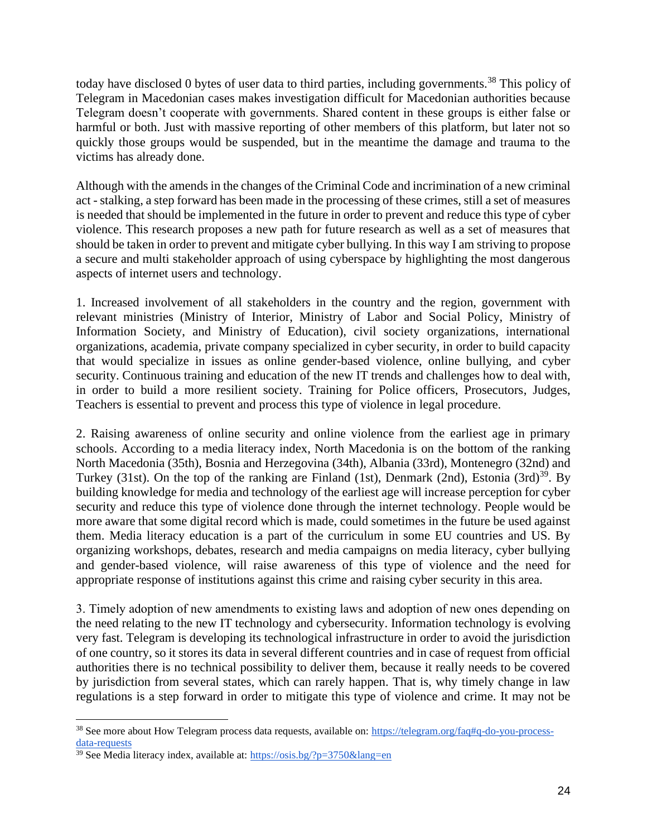today have disclosed 0 bytes of user data to third parties, including governments.<sup>38</sup> This policy of Telegram in Macedonian cases makes investigation difficult for Macedonian authorities because Telegram doesn't cooperate with governments. Shared content in these groups is either false or harmful or both. Just with massive reporting of other members of this platform, but later not so quickly those groups would be suspended, but in the meantime the damage and trauma to the victims has already done.

Although with the amends in the changes of the Criminal Code and incrimination of a new criminal act - stalking, a step forward has been made in the processing of these crimes, still a set of measures is needed that should be implemented in the future in order to prevent and reduce this type of cyber violence. This research proposes a new path for future research as well as a set of measures that should be taken in order to prevent and mitigate cyber bullying. In this way I am striving to propose a secure and multi stakeholder approach of using cyberspace by highlighting the most dangerous aspects of internet users and technology.

1. Increased involvement of all stakeholders in the country and the region, government with relevant ministries (Ministry of Interior, Ministry of Labor and Social Policy, Ministry of Information Society, and Ministry of Education), civil society organizations, international organizations, academia, private company specialized in cyber security, in order to build capacity that would specialize in issues as online gender-based violence, online bullying, and cyber security. Continuous training and education of the new IT trends and challenges how to deal with, in order to build a more resilient society. Training for Police officers, Prosecutors, Judges, Teachers is essential to prevent and process this type of violence in legal procedure.

2. Raising awareness of online security and online violence from the earliest age in primary schools. According to a media literacy index, North Macedonia is on the bottom of the ranking North Macedonia (35th), Bosnia and Herzegovina (34th), Albania (33rd), Montenegro (32nd) and Turkey (31st). On the top of the ranking are Finland (1st), Denmark (2nd), Estonia (3rd)<sup>39</sup>. By building knowledge for media and technology of the earliest age will increase perception for cyber security and reduce this type of violence done through the internet technology. People would be more aware that some digital record which is made, could sometimes in the future be used against them. Media literacy education is a part of the curriculum in some EU countries and US. By organizing workshops, debates, research and media campaigns on media literacy, cyber bullying and gender-based violence, will raise awareness of this type of violence and the need for appropriate response of institutions against this crime and raising cyber security in this area.

3. Тimely adoption of new amendments to existing laws and adoption of new ones depending on the need relating to the new IT technology and cybersecurity. Information technology is evolving very fast. Telegram is developing its technological infrastructure in order to avoid the jurisdiction of one country, so it stores its data in several different countries and in case of request from official authorities there is no technical possibility to deliver them, because it really needs to be covered by jurisdiction from several states, which can rarely happen. That is, why timely change in law regulations is a step forward in order to mitigate this type of violence and crime. It may not be

<sup>&</sup>lt;sup>38</sup> See more about How Telegram process data requests, available on[: https://telegram.org/faq#q-do-you-process](https://telegram.org/faq#q-do-you-process-data-requests)[data-requests](https://telegram.org/faq#q-do-you-process-data-requests)

<sup>&</sup>lt;sup>39</sup> See Media literacy index, available at:<https://osis.bg/?p=3750&lang=en>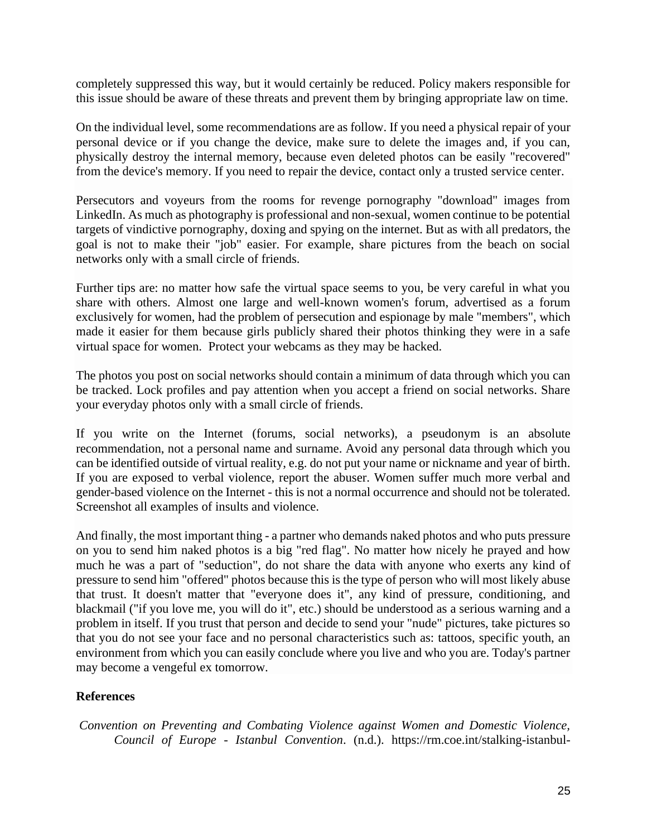completely suppressed this way, but it would certainly be reduced. Policy makers responsible for this issue should be aware of these threats and prevent them by bringing appropriate law on time.

On the individual level, some recommendations are as follow. If you need a physical repair of your personal device or if you change the device, make sure to delete the images and, if you can, physically destroy the internal memory, because even deleted photos can be easily "recovered" from the device's memory. If you need to repair the device, contact only a trusted service center.

Persecutors and voyeurs from the rooms for revenge pornography "download" images from LinkedIn. As much as photography is professional and non-sexual, women continue to be potential targets of vindictive pornography, doxing and spying on the internet. But as with all predators, the goal is not to make their "job" easier. For example, share pictures from the beach on social networks only with a small circle of friends.

Further tips are: no matter how safe the virtual space seems to you, be very careful in what you share with others. Almost one large and well-known women's forum, advertised as a forum exclusively for women, had the problem of persecution and espionage by male "members", which made it easier for them because girls publicly shared their photos thinking they were in a safe virtual space for women. Protect your webcams as they may be hacked.

The photos you post on social networks should contain a minimum of data through which you can be tracked. Lock profiles and pay attention when you accept a friend on social networks. Share your everyday photos only with a small circle of friends.

If you write on the Internet (forums, social networks), a pseudonym is an absolute recommendation, not a personal name and surname. Avoid any personal data through which you can be identified outside of virtual reality, e.g. do not put your name or nickname and year of birth. If you are exposed to verbal violence, report the abuser. Women suffer much more verbal and gender-based violence on the Internet - this is not a normal occurrence and should not be tolerated. Screenshot all examples of insults and violence.

And finally, the most important thing - a partner who demands naked photos and who puts pressure on you to send him naked photos is a big "red flag". No matter how nicely he prayed and how much he was a part of "seduction", do not share the data with anyone who exerts any kind of pressure to send him "offered" photos because this is the type of person who will most likely abuse that trust. It doesn't matter that "everyone does it", any kind of pressure, conditioning, and blackmail ("if you love me, you will do it", etc.) should be understood as a serious warning and a problem in itself. If you trust that person and decide to send your "nude" pictures, take pictures so that you do not see your face and no personal characteristics such as: tattoos, specific youth, an environment from which you can easily conclude where you live and who you are. Today's partner may become a vengeful ex tomorrow.

### **References**

*Convention on Preventing and Combating Violence against Women and Domestic Violence, Council of Europe - Istanbul Convention*. (n.d.). https://rm.coe.int/stalking-istanbul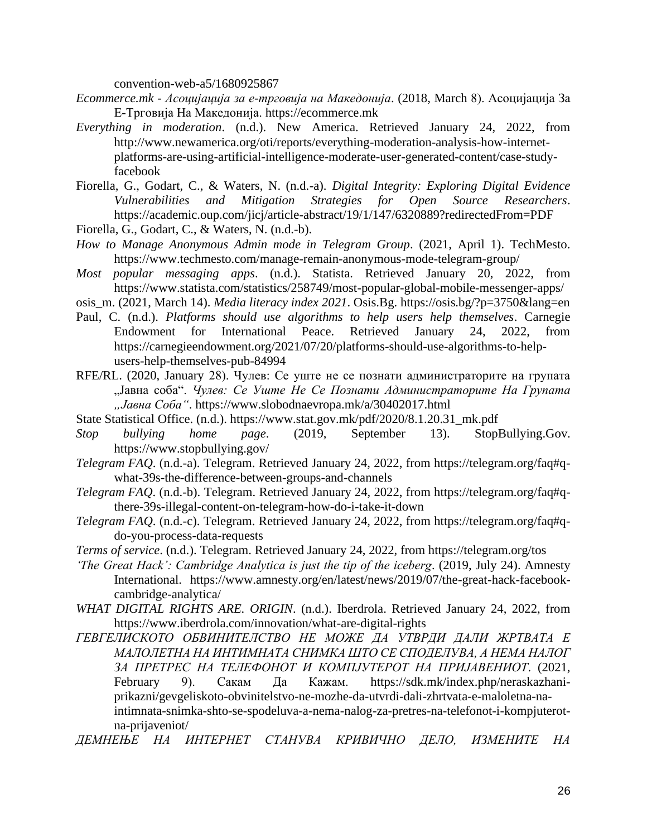convention-web-a5/1680925867

- *Ecommerce.mk - Асоцијација за е-трговија на Македонија*. (2018, March 8). Асоцијација За Е-Трговија На Македонија. https://ecommerce.mk
- *Everything in moderation*. (n.d.). New America. Retrieved January 24, 2022, from http://www.newamerica.org/oti/reports/everything-moderation-analysis-how-internetplatforms-are-using-artificial-intelligence-moderate-user-generated-content/case-studyfacebook
- Fiorella, G., Godart, C., & Waters, N. (n.d.-a). *Digital Integrity: Exploring Digital Evidence Vulnerabilities and Mitigation Strategies for Open Source Researchers*. https://academic.oup.com/jicj/article-abstract/19/1/147/6320889?redirectedFrom=PDF
- Fiorella, G., Godart, C., & Waters, N. (n.d.-b).
- *How to Manage Anonymous Admin mode in Telegram Group*. (2021, April 1). TechMesto. https://www.techmesto.com/manage-remain-anonymous-mode-telegram-group/
- *Most popular messaging apps*. (n.d.). Statista. Retrieved January 20, 2022, from https://www.statista.com/statistics/258749/most-popular-global-mobile-messenger-apps/
- osis\_m. (2021, March 14). *Media literacy index 2021*. Osis.Bg. https://osis.bg/?p=3750&lang=en
- Paul, C. (n.d.). *Platforms should use algorithms to help users help themselves*. Carnegie Endowment for International Peace. Retrieved January 24, 2022, from https://carnegieendowment.org/2021/07/20/platforms-should-use-algorithms-to-helpusers-help-themselves-pub-84994
- RFE/RL. (2020, January 28). Чулев: Се уште не се познати администраторите на групата "Јавна соба". *Чулев: Се Уште Не Се Познати Администраторите На Групата "Јавна Соба"*. https://www.slobodnaevropa.mk/a/30402017.html
- State Statistical Office. (n.d.). https://www.stat.gov.mk/pdf/2020/8.1.20.31\_mk.pdf
- *Stop bullying home page*. (2019, September 13). StopBullying.Gov. https://www.stopbullying.gov/
- *Telegram FAQ*. (n.d.-a). Telegram. Retrieved January 24, 2022, from https://telegram.org/faq#qwhat-39s-the-difference-between-groups-and-channels
- *Telegram FAQ*. (n.d.-b). Telegram. Retrieved January 24, 2022, from https://telegram.org/faq#qthere-39s-illegal-content-on-telegram-how-do-i-take-it-down
- *Telegram FAQ*. (n.d.-c). Telegram. Retrieved January 24, 2022, from https://telegram.org/faq#qdo-you-process-data-requests
- *Terms of service*. (n.d.). Telegram. Retrieved January 24, 2022, from https://telegram.org/tos
- *'The Great Hack': Cambridge Analytica is just the tip of the iceberg*. (2019, July 24). Amnesty International. https://www.amnesty.org/en/latest/news/2019/07/the-great-hack-facebookcambridge-analytica/
- *WHAT DIGITAL RIGHTS ARE. ORIGIN*. (n.d.). Iberdrola. Retrieved January 24, 2022, from https://www.iberdrola.com/innovation/what-are-digital-rights
- *ГЕВГЕЛИСКОТО ОБВИНИТЕЛСТВО НЕ МОЖЕ ДА УТВРДИ ДАЛИ ЖРТВАТА Е МАЛОЛЕТНА НА ИНТИМНАТА СНИМКА ШТО СЕ СПОДЕЛУВА, А НЕМА НАЛОГ ЗА ПРЕТРЕС НА ТЕЛЕФОНОТ И КОМПЈУТЕРОТ НА ПРИЈАВЕНИОТ*. (2021, February 9). Сакам Да Кажам. https://sdk.mk/index.php/neraskazhaniprikazni/gevgeliskoto-obvinitelstvo-ne-mozhe-da-utvrdi-dali-zhrtvata-e-maloletna-naintimnata-snimka-shto-se-spodeluva-a-nema-nalog-za-pretres-na-telefonot-i-kompjuterotna-prijaveniot/
- *ДЕМНЕЊЕ НА ИНТЕРНЕТ СТАНУВА КРИВИЧНО ДЕЛО, ИЗМЕНИТЕ НА*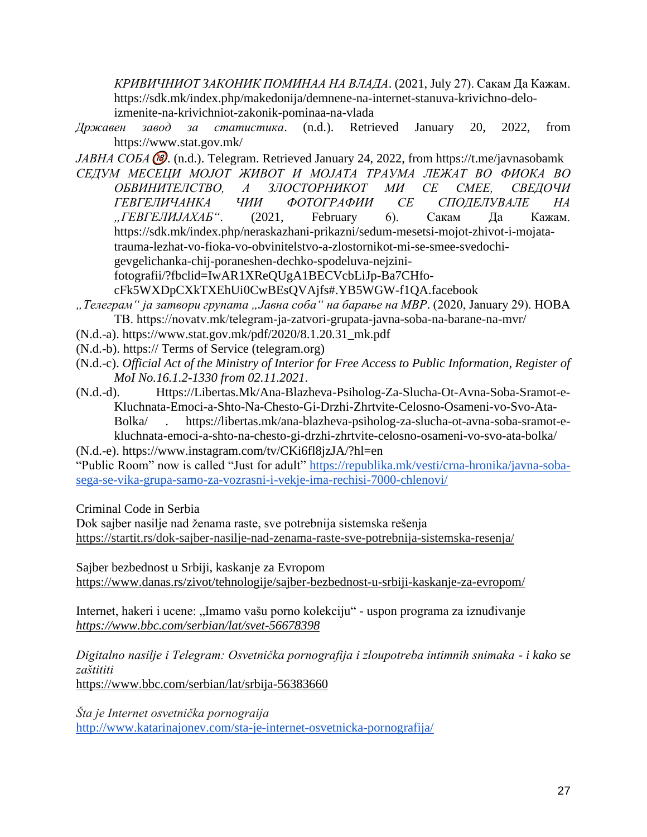*КРИВИЧНИОТ ЗАКОНИК ПОМИНАА НА ВЛАДА*. (2021, July 27). Сакам Да Кажам. https://sdk.mk/index.php/makedonija/demnene-na-internet-stanuva-krivichno-deloizmenite-na-krivichniot-zakonik-pominaa-na-vlada

*Државен завод за статистика*. (n.d.). Retrieved January 20, 2022, from https://www.stat.gov.mk/

*ЈАВНА СОБА* (®). (n.d.). Telegram. Retrieved January 24, 2022, from https://t.me/javnasobamk

*СЕДУМ МЕСЕЦИ МОЈОТ ЖИВОТ И МОЈАТА ТРАУМА ЛЕЖАТ ВО ФИОКА ВО ОБВИНИТЕЛСТВО, А ЗЛОСТОРНИКОТ МИ СЕ СМЕЕ, СВЕДОЧИ ГЕВГЕЛИЧАНКА ЧИИ ФОТОГРАФИИ СЕ СПОДЕЛУВАЛЕ НА "ГЕВГЕЛИЈАХАБ"*. (2021, February 6). Сакам Да Кажам. https://sdk.mk/index.php/neraskazhani-prikazni/sedum-mesetsi-mojot-zhivot-i-mojatatrauma-lezhat-vo-fioka-vo-obvinitelstvo-a-zlostornikot-mi-se-smee-svedochigevgelichanka-chij-poraneshen-dechko-spodeluva-nejzini-

fotografii/?fbclid=IwAR1XReQUgA1BECVcbLiJp-Ba7CHfo-

cFk5WXDpCXkTXEhUi0CwBEsQVAjfs#.YB5WGW-f1QA.facebook

- *"Телеграм" ја затвори групата "Јавна соба" на барање на МВР*. (2020, January 29). НОВА ТВ. https://novatv.mk/telegram-ja-zatvori-grupata-javna-soba-na-barane-na-mvr/
- (N.d.-a). https://www.stat.gov.mk/pdf/2020/8.1.20.31\_mk.pdf
- (N.d.-b). https:// Terms of Service (telegram.org)
- (N.d.-c). *Official Act of the Ministry of Interior for Free Access to Public Information, Register of MoI No.16.1.2-1330 from 02.11.2021*.
- (N.d.-d). Https://Libertas.Mk/Ana-Blazheva-Psiholog-Za-Slucha-Ot-Avna-Soba-Sramot-e-Kluchnata-Emoci-a-Shto-Na-Chesto-Gi-Drzhi-Zhrtvite-Celosno-Osameni-vo-Svo-Ata-Bolka/ . https://libertas.mk/ana-blazheva-psiholog-za-slucha-ot-avna-soba-sramot-ekluchnata-emoci-a-shto-na-chesto-gi-drzhi-zhrtvite-celosno-osameni-vo-svo-ata-bolka/

(N.d.-e). https://www.instagram.com/tv/CKi6fl8jzJA/?hl=en

"Public Room" now is called "Just for adult" https://republika.mk/vesti/crna-hronika/javna-sobasega-se-vika-grupa-samo-za-vozrasni-i-vekje-ima-rechisi-7000-chlenovi/

Criminal Code in Serbia

Dok sajber nasilje nad ženama raste, sve potrebnija sistemska rešenja https://startit.rs/dok-sajber-nasilje-nad-zenama-raste-sve-potrebnija-sistemska-resenja/

Sajber bezbednost u Srbiji, kaskanje za Evropom https://www.danas.rs/zivot/tehnologije/sajber-bezbednost-u-srbiji-kaskanje-za-evropom/

Internet, hakeri i ucene: "Imamo vašu porno kolekciju" - uspon programa za iznuđivanje *https://www.bbc.com/serbian/lat/svet-56678398*

*Digitalno nasilje i Telegram: Osvetnička pornografija i zloupotreba intimnih snimaka - i kako se zaštititi*

https://www.bbc.com/serbian/lat/srbija-56383660

*Šta je Internet osvetnička pornograija*  http://www.katarinajonev.com/sta-je-internet-osvetnicka-pornografija/